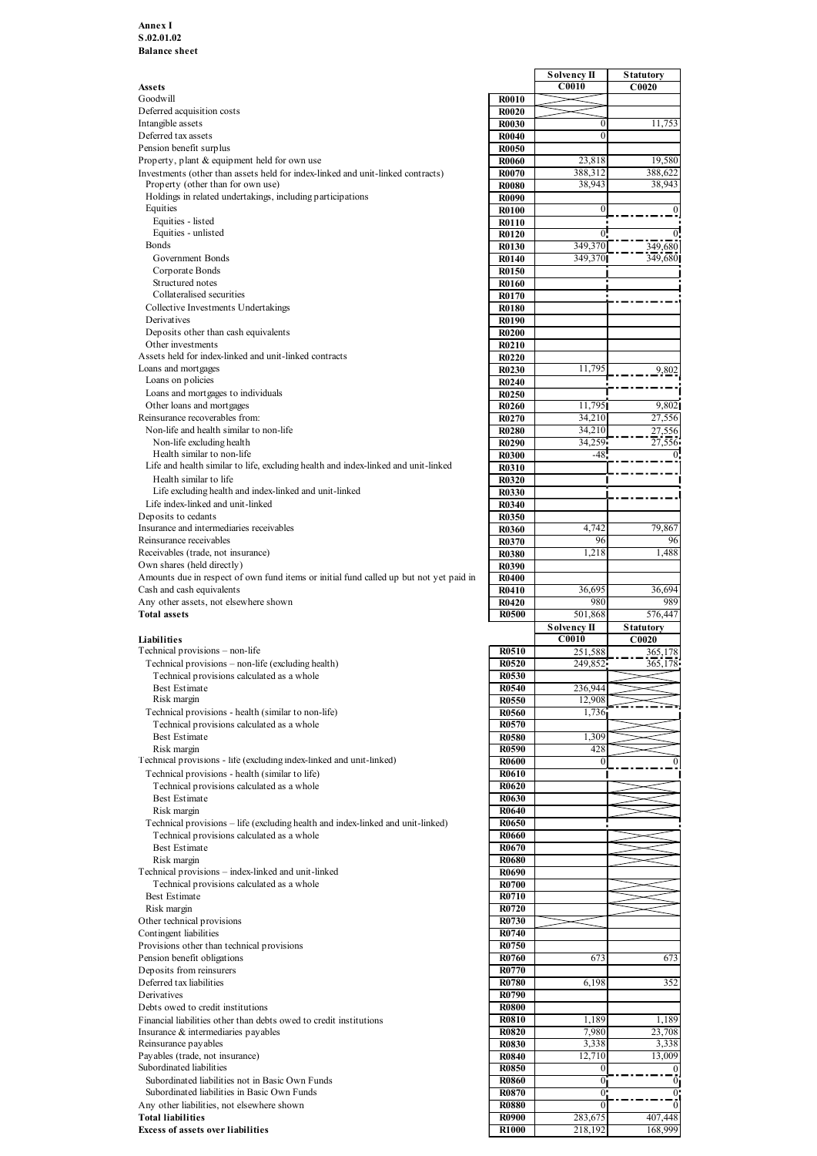### Annex I S.02.01.02 Balance sheet

|                                                                                        |                              | Solvency II        | <b>Statutory</b> |
|----------------------------------------------------------------------------------------|------------------------------|--------------------|------------------|
| Assets<br>Goodwill                                                                     |                              | C0010              | C0020            |
| Deferred acquisition costs                                                             | <b>R0010</b><br><b>R0020</b> |                    |                  |
| Intangible assets                                                                      | <b>R0030</b>                 | $\overline{0}$     | 11,753           |
| Deferred tax assets                                                                    | <b>R0040</b>                 | $\Omega$           |                  |
| Pension benefit surplus                                                                | <b>R0050</b>                 |                    |                  |
| Property, plant & equipment held for own use                                           | <b>R0060</b>                 | 23,818             | 19,580           |
| Investments (other than assets held for index-linked and unit-linked contracts)        | <b>R0070</b>                 | 388,312            | 388,622          |
| Property (other than for own use)                                                      | <b>R0080</b>                 | 38,943             | 38,943           |
| Holdings in related undertakings, including participations<br>Equities                 | <b>R0090</b>                 |                    |                  |
|                                                                                        | <b>R0100</b>                 |                    |                  |
| Equities - listed<br>Equities - unlisted                                               | <b>R0110</b>                 |                    |                  |
| <b>Bonds</b>                                                                           | <b>R0120</b><br><b>R0130</b> | 349,370            | 349,680          |
| Government Bonds                                                                       | <b>R0140</b>                 | 349,370            | 349,680          |
| Corporate Bonds                                                                        | R0150                        |                    |                  |
| Structured notes                                                                       | <b>R0160</b>                 |                    |                  |
| Collateralised securities                                                              | <b>R0170</b>                 |                    |                  |
| Collective Investments Undertakings                                                    | <b>R0180</b>                 |                    |                  |
| Derivatives                                                                            | <b>R0190</b>                 |                    |                  |
| Deposits other than cash equivalents                                                   | <b>R0200</b>                 |                    |                  |
| Other investments                                                                      | R0210                        |                    |                  |
| Assets held for index-linked and unit-linked contracts                                 | <b>R0220</b>                 |                    |                  |
| Loans and mortgages                                                                    | R0230                        | 11,795             | 9,802            |
| Loans on policies                                                                      | R0240                        |                    |                  |
| Loans and mortgages to individuals                                                     | R0250                        |                    |                  |
| Other loans and mortgages                                                              | R0260                        | 11,795             | 9,802            |
| Reinsurance recoverables from:                                                         | R0270                        | 34,210             | 27,556           |
| Non-life and health similar to non-life                                                | <b>R0280</b>                 | 34,210             | 27,556           |
| Non-life excluding health                                                              | R0290                        | 34,259             | 27,556           |
| Health similar to non-life                                                             | <b>R0300</b>                 | $-48$              |                  |
| Life and health similar to life, excluding health and index-linked and unit-linked     | R0310                        |                    |                  |
| Health similar to life                                                                 | <b>R0320</b>                 |                    |                  |
| Life excluding health and index-linked and unit-linked                                 | <b>R0330</b>                 |                    |                  |
| Life index-linked and unit-linked                                                      | R0340                        |                    |                  |
| Deposits to cedants                                                                    | <b>R0350</b>                 |                    |                  |
| Insurance and intermediaries receivables                                               | <b>R0360</b>                 | 4,742              | 79,867           |
| Reinsurance receivables                                                                | R0370                        | 96                 | 96               |
| Receivables (trade, not insurance)                                                     | <b>R0380</b>                 | 1,218              | 1,488            |
| Own shares (held directly)                                                             | <b>R0390</b>                 |                    |                  |
| Amounts due in respect of own fund items or initial fund called up but not yet paid in | <b>R0400</b>                 |                    |                  |
| Cash and cash equivalents                                                              | R0410                        | 36,695             | 36,694           |
| Any other assets, not elsewhere shown                                                  | R <sub>0420</sub>            | 980                | 989              |
| <b>Total assets</b>                                                                    | <b>R0500</b>                 | 501,868            | 576,447          |
|                                                                                        |                              | <b>Solvency II</b> | <b>Statutory</b> |
| Liabilities                                                                            |                              | <b>C0010</b>       | C0020            |
| Technical provisions - non-life                                                        | R0510                        | 251,588            | 365,178          |
| Technical provisions – non-life (excluding health)                                     | <b>R0520</b>                 | 249,852            | 365,178          |
| Technical provisions calculated as a whole                                             | <b>R0530</b>                 |                    |                  |
| Best Estimate                                                                          | <b>R0540</b>                 | 236,944            |                  |
| Risk margin                                                                            | <b>R0550</b>                 | 12,90              |                  |
| Technical provisions - health (similar to non-life)                                    | <b>R0560</b>                 | 1,736              |                  |
| Technical provisions calculated as a whole                                             | <b>R0570</b>                 |                    |                  |
| <b>Best Estimate</b><br>Risk margin                                                    | <b>R0580</b>                 | 1,309              |                  |
| Technical provisions - life (excluding index-linked and unit-linked)                   | <b>R0590</b>                 | 428                |                  |
| Technical provisions - health (similar to life)                                        | <b>R0600</b><br><b>R0610</b> | $\theta$           |                  |
| Technical provisions calculated as a whole                                             | R0620                        |                    |                  |
| <b>Best Estimate</b>                                                                   | <b>R0630</b>                 |                    |                  |
| Risk margin                                                                            | <b>R0640</b>                 |                    |                  |
| Technical provisions – life (excluding health and index-linked and unit-linked)        | <b>R0650</b>                 |                    |                  |
| Technical provisions calculated as a whole                                             | <b>R0660</b>                 |                    |                  |
| <b>Best Estimate</b>                                                                   | R0670                        |                    |                  |
| Risk margin                                                                            | <b>R0680</b>                 |                    |                  |
| Technical provisions - index-linked and unit-linked                                    | <b>R0690</b>                 |                    |                  |
| Technical provisions calculated as a whole                                             | <b>R0700</b>                 |                    |                  |
| Best Estimate                                                                          | <b>R0710</b>                 |                    |                  |
| Risk margin                                                                            | R0720                        |                    |                  |
| Other technical provisions                                                             | <b>R0730</b>                 |                    |                  |
| Contingent liabilities                                                                 | <b>R0740</b>                 |                    |                  |
| Provisions other than technical provisions                                             | <b>R0750</b>                 |                    |                  |
| Pension benefit obligations                                                            | <b>R0760</b>                 | 673                | 673              |
| Deposits from reinsurers                                                               | <b>R0770</b>                 |                    |                  |
| Deferred tax liabilities                                                               | <b>R0780</b>                 | 6,198              | 352              |
| Derivatives                                                                            | <b>R0790</b>                 |                    |                  |
|                                                                                        |                              |                    |                  |
|                                                                                        |                              |                    |                  |
| Debts owed to credit institutions                                                      | <b>R0800</b><br><b>R0810</b> | 1,189              | 1,189            |
| Financial liabilities other than debts owed to credit institutions                     | <b>R0820</b>                 | 7,980              |                  |
| Insurance & intermediaries payables                                                    | <b>R0830</b>                 | 3,338              | 23,708           |
| Reinsurance payables                                                                   | <b>R0840</b>                 | 12,710             | 3,338<br>13,009  |
| Payables (trade, not insurance)<br>Subordinated liabilities                            | <b>R0850</b>                 | $\theta$           |                  |
| Subordinated liabilities not in Basic Own Funds                                        | <b>R0860</b>                 | 01                 | $\Omega$         |
| Subordinated liabilities in Basic Own Funds                                            | <b>R0870</b>                 | $0$ .              | $\Omega$         |
| Any other liabilities, not elsewhere shown                                             | <b>R0880</b>                 | $\Omega$           | $\Omega$         |
| <b>Total liabilities</b>                                                               | <b>R0900</b>                 | 283,675            | 407,448          |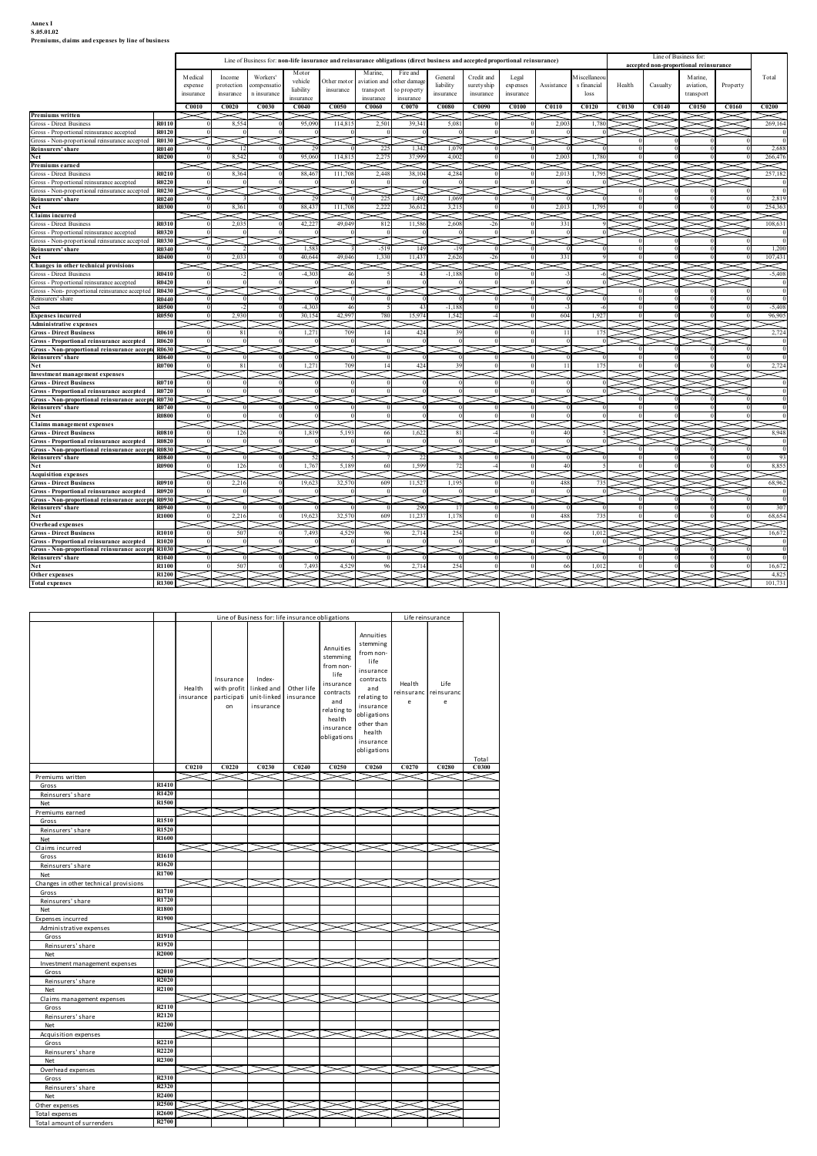# Annex I<br>S.05.01.02<br>Premiums, claims and expenses by line of business

| Line of Business for:<br>Line of Business for: non-life insurance and reinsurance obligations (direct business and accepted proportional reinsurance)<br>accepted non-proportional reinsurance<br>Motor<br>Marine,<br>Fire and<br>M iscellaneor<br>Total<br>M edical<br>Income<br>Workers'<br>General<br>Credit and<br>Legal<br>Marine,<br>vehicle<br>Other motor<br>other damag<br>iviation and<br>liability<br>suretyship<br>Assistance<br>s financial<br>Health<br>Casualty<br>Property<br>protection<br>compensatio<br>expenses<br>aviation,<br>expense<br>liability<br>insurance<br>to property<br>transport<br>n insurance<br>insurance<br>loss<br>transport<br>insurance<br>insurance<br>insurance<br>insurance<br>insurance<br>insurance<br>insurance<br>C0010<br>C0020<br>C0030<br>C0040<br>C0050<br>C0060<br>C0070<br>C0080<br>C0090<br><b>C0100</b><br>C0110<br>C0120<br>C0130<br>C0140<br>C0150<br>C0160<br>C0200<br>$\ltimes$<br>2,003<br>R0110<br>8,554<br>95,090<br>114,81<br>2,50<br>39,34<br>5.081<br>1.780<br>$\!$<br>$\asymp$<br>$\!$<br>R0120<br>Gross - Non-proportional reinsurance accepted   R0130<br>≂<br>$\check{~}$<br>$\asymp$<br>~<br>22<br>1.34<br>1.079<br>R0140<br>8,542<br>2.27<br>37,999<br>266,476<br>R0200<br>95,060<br>114,81<br>4,002<br>2,003<br>1.780<br>$\ltimes$<br>2,013<br>257,182<br>Gross - Direct Business<br>R0210<br>8,364<br>88,46<br>111,70<br>2,448<br>38,10<br>4,284<br>1,795<br>Gross - Proportional reinsurance accepted<br>R0220<br>Gross - Non-proportional reinsurance accepted   R0230<br>R0240<br>22:<br>1,49<br>1,069<br>2,819<br>R0300<br>8,361<br>88,43<br>111,70<br>2,22<br>36,61<br>3,215<br>2,013<br>1,795<br>254,363<br>Net<br>$\times$<br><b>Claims incurred</b><br><<br>≍<br>≂<br>Gross - Direct Business<br>R0310<br>2,035<br>42,22<br>49,04<br>812<br>11,58<br>2,608<br>108,631<br>331<br>R0320<br>Gross - Non-proportional reinsurance accepted   R0330<br>ང<br>R0340<br>1,583<br>$-51$<br>-14<br>$-19$<br>R0400<br>2,033<br>40,644<br>1,330<br>11,437<br>2,626<br>49,046<br>331<br>$\ltimes$<br>$\,<$<br>$\prec$<br>$\prec$<br>◁<br>$\lt\lt$ l<br>$\asymp$<br>≍<br>$\leq$<br>$\leq$<br>⋤<br>➤<br>R0410<br>$-4.301$<br>$-1.188$<br>-61<br>نحڪ<br>نماڪ<br>R0420<br>Gross - Non- proportional reinsurance accepted   R0430  <br>$\asymp$<br>≍<br>$>\hspace{-2.5mm}<$ l.<br>≍<br>$\asymp$<br>$\asymp$<br>≔<br>R0440<br>Reinsurers' share<br>R0500<br>$-4.303$<br>$-1.188$<br>$-6$<br>$-31$<br>$\Omega$<br>$\Omega$<br>R0550<br>2,930<br>30,154<br>1,542<br>42,99<br>15,97<br>604<br>1,927<br>R0610<br>81<br>1,27<br>70<br>42.<br>11<br>175<br>39<br><b>Gross - Proportional reinsurance accepted</b><br>R0620<br>Gross - Non-proportional reinsurance accepte R0630<br><b>R0640</b><br>R0700<br>2,724<br>175<br>1,27<br>11<br>████<br>R0710<br>Gross - Proportional reinsurance accepted R0720<br>Gross - Non-proportional reinsurance accepte R0730<br>R0740<br>$\Omega$<br>$\Omega$<br><b>R0800</b><br>Claims management expenses<br>$\leq$ E<br>XXXX<br>R0810<br>5,193<br>1,62<br>1,819<br>40<br>126<br>81<br>-51<br>- 66<br>ਾ≍<br>Gross - Proportional reinsurance accepted R0820<br>Gross - Non-proportional reinsurance accepte R0830<br>Т.<br><b>R0840</b><br>$\Omega$<br>-81<br>-91<br>8,855<br>R0900<br>1,76<br>5,18<br>1,59<br>126<br>72<br>40<br>⋜<br>$\sum$<br>₹<br>$\approx$<br>2,216<br>32,57<br>1,195<br>735<br>R0910<br>19,623<br>609<br>11,52<br>488<br>Gross - Proportional reinsurance accepted   R0920<br>Gross - Non-proportional reinsurance accepte R0930<br>R0940<br>29<br>307<br>-17<br><b>R1000</b><br>68,654<br>2,21<br>19,62<br>32,5<br>11,23<br>1,178<br>488<br>$\lt$<br>▓▓<br>R1010<br>507<br>7,493<br>4,52<br>2,714<br>254<br>1,012<br>66<br>Gross - Proportional reinsurance accepted R1020<br>Gross - Non-proportional reinsurance accepte R1030<br>R1040<br>$\overline{0}$<br>- 01<br>- 0<br>R1100<br>254<br>16,672<br>507<br>7,493<br>4,52<br>2,71<br>1,012<br>66<br>R1200<br>طحا<br>ىك<br>↘<br>101,731<br>R1300<br>$\check{~}$<br>.<br>2 I J |                                                                      | Premiums, claims and expenses by line of business |                               |       |           |           |                     |                        |           |           |                   |  |  |  |  |
|-------------------------------------------------------------------------------------------------------------------------------------------------------------------------------------------------------------------------------------------------------------------------------------------------------------------------------------------------------------------------------------------------------------------------------------------------------------------------------------------------------------------------------------------------------------------------------------------------------------------------------------------------------------------------------------------------------------------------------------------------------------------------------------------------------------------------------------------------------------------------------------------------------------------------------------------------------------------------------------------------------------------------------------------------------------------------------------------------------------------------------------------------------------------------------------------------------------------------------------------------------------------------------------------------------------------------------------------------------------------------------------------------------------------------------------------------------------------------------------------------------------------------------------------------------------------------------------------------------------------------------------------------------------------------------------------------------------------------------------------------------------------------------------------------------------------------------------------------------------------------------------------------------------------------------------------------------------------------------------------------------------------------------------------------------------------------------------------------------------------------------------------------------------------------------------------------------------------------------------------------------------------------------------------------------------------------------------------------------------------------------------------------------------------------------------------------------------------------------------------------------------------------------------------------------------------------------------------------------------------------------------------------------------------------------------------------------------------------------------------------------------------------------------------------------------------------------------------------------------------------------------------------------------------------------------------------------------------------------------------------------------------------------------------------------------------------------------------------------------------------------------------------------------------------------------------------------------------------------------------------------------------------------------------------------------------------------------------------------------------------------------------------------------------------------------------------------------------------------------------------------------------------------------------------------------------------------------------------------------------------------------------------------------------------------------------------------------------------------------------------------------------------------------------------------------------------------------------------------------------------------------------------------------------------------------------------------------------------------------------------------------------------------------------------------|----------------------------------------------------------------------|---------------------------------------------------|-------------------------------|-------|-----------|-----------|---------------------|------------------------|-----------|-----------|-------------------|--|--|--|--|
|                                                                                                                                                                                                                                                                                                                                                                                                                                                                                                                                                                                                                                                                                                                                                                                                                                                                                                                                                                                                                                                                                                                                                                                                                                                                                                                                                                                                                                                                                                                                                                                                                                                                                                                                                                                                                                                                                                                                                                                                                                                                                                                                                                                                                                                                                                                                                                                                                                                                                                                                                                                                                                                                                                                                                                                                                                                                                                                                                                                                                                                                                                                                                                                                                                                                                                                                                                                                                                                                                                                                                                                                                                                                                                                                                                                                                                                                                                                                                                                                                                                       |                                                                      |                                                   |                               |       |           |           |                     |                        |           |           |                   |  |  |  |  |
| 269,164<br>2,688<br>107,431<br>96,905<br>68,962<br>16,672                                                                                                                                                                                                                                                                                                                                                                                                                                                                                                                                                                                                                                                                                                                                                                                                                                                                                                                                                                                                                                                                                                                                                                                                                                                                                                                                                                                                                                                                                                                                                                                                                                                                                                                                                                                                                                                                                                                                                                                                                                                                                                                                                                                                                                                                                                                                                                                                                                                                                                                                                                                                                                                                                                                                                                                                                                                                                                                                                                                                                                                                                                                                                                                                                                                                                                                                                                                                                                                                                                                                                                                                                                                                                                                                                                                                                                                                                                                                                                                             |                                                                      |                                                   |                               |       |           |           |                     |                        |           |           |                   |  |  |  |  |
|                                                                                                                                                                                                                                                                                                                                                                                                                                                                                                                                                                                                                                                                                                                                                                                                                                                                                                                                                                                                                                                                                                                                                                                                                                                                                                                                                                                                                                                                                                                                                                                                                                                                                                                                                                                                                                                                                                                                                                                                                                                                                                                                                                                                                                                                                                                                                                                                                                                                                                                                                                                                                                                                                                                                                                                                                                                                                                                                                                                                                                                                                                                                                                                                                                                                                                                                                                                                                                                                                                                                                                                                                                                                                                                                                                                                                                                                                                                                                                                                                                                       |                                                                      |                                                   |                               |       |           |           |                     |                        |           |           |                   |  |  |  |  |
|                                                                                                                                                                                                                                                                                                                                                                                                                                                                                                                                                                                                                                                                                                                                                                                                                                                                                                                                                                                                                                                                                                                                                                                                                                                                                                                                                                                                                                                                                                                                                                                                                                                                                                                                                                                                                                                                                                                                                                                                                                                                                                                                                                                                                                                                                                                                                                                                                                                                                                                                                                                                                                                                                                                                                                                                                                                                                                                                                                                                                                                                                                                                                                                                                                                                                                                                                                                                                                                                                                                                                                                                                                                                                                                                                                                                                                                                                                                                                                                                                                                       | Premiums written                                                     |                                                   |                               |       |           |           |                     |                        |           |           |                   |  |  |  |  |
|                                                                                                                                                                                                                                                                                                                                                                                                                                                                                                                                                                                                                                                                                                                                                                                                                                                                                                                                                                                                                                                                                                                                                                                                                                                                                                                                                                                                                                                                                                                                                                                                                                                                                                                                                                                                                                                                                                                                                                                                                                                                                                                                                                                                                                                                                                                                                                                                                                                                                                                                                                                                                                                                                                                                                                                                                                                                                                                                                                                                                                                                                                                                                                                                                                                                                                                                                                                                                                                                                                                                                                                                                                                                                                                                                                                                                                                                                                                                                                                                                                                       | Gross - Direct Business<br>Gross - Proportional reinsurance accepted |                                                   |                               |       |           |           |                     |                        |           |           |                   |  |  |  |  |
|                                                                                                                                                                                                                                                                                                                                                                                                                                                                                                                                                                                                                                                                                                                                                                                                                                                                                                                                                                                                                                                                                                                                                                                                                                                                                                                                                                                                                                                                                                                                                                                                                                                                                                                                                                                                                                                                                                                                                                                                                                                                                                                                                                                                                                                                                                                                                                                                                                                                                                                                                                                                                                                                                                                                                                                                                                                                                                                                                                                                                                                                                                                                                                                                                                                                                                                                                                                                                                                                                                                                                                                                                                                                                                                                                                                                                                                                                                                                                                                                                                                       | Reinsurers' share                                                    |                                                   |                               |       |           |           |                     |                        |           |           |                   |  |  |  |  |
| 1,200<br>$-5,408$<br>$-5,408$<br>8,948<br>4,825                                                                                                                                                                                                                                                                                                                                                                                                                                                                                                                                                                                                                                                                                                                                                                                                                                                                                                                                                                                                                                                                                                                                                                                                                                                                                                                                                                                                                                                                                                                                                                                                                                                                                                                                                                                                                                                                                                                                                                                                                                                                                                                                                                                                                                                                                                                                                                                                                                                                                                                                                                                                                                                                                                                                                                                                                                                                                                                                                                                                                                                                                                                                                                                                                                                                                                                                                                                                                                                                                                                                                                                                                                                                                                                                                                                                                                                                                                                                                                                                       | Net<br>Premiums earned                                               |                                                   |                               |       |           |           |                     |                        |           |           |                   |  |  |  |  |
|                                                                                                                                                                                                                                                                                                                                                                                                                                                                                                                                                                                                                                                                                                                                                                                                                                                                                                                                                                                                                                                                                                                                                                                                                                                                                                                                                                                                                                                                                                                                                                                                                                                                                                                                                                                                                                                                                                                                                                                                                                                                                                                                                                                                                                                                                                                                                                                                                                                                                                                                                                                                                                                                                                                                                                                                                                                                                                                                                                                                                                                                                                                                                                                                                                                                                                                                                                                                                                                                                                                                                                                                                                                                                                                                                                                                                                                                                                                                                                                                                                                       |                                                                      |                                                   |                               |       |           |           |                     |                        |           |           |                   |  |  |  |  |
|                                                                                                                                                                                                                                                                                                                                                                                                                                                                                                                                                                                                                                                                                                                                                                                                                                                                                                                                                                                                                                                                                                                                                                                                                                                                                                                                                                                                                                                                                                                                                                                                                                                                                                                                                                                                                                                                                                                                                                                                                                                                                                                                                                                                                                                                                                                                                                                                                                                                                                                                                                                                                                                                                                                                                                                                                                                                                                                                                                                                                                                                                                                                                                                                                                                                                                                                                                                                                                                                                                                                                                                                                                                                                                                                                                                                                                                                                                                                                                                                                                                       | Reinsurers' share                                                    |                                                   |                               |       |           |           |                     |                        |           |           |                   |  |  |  |  |
| $\overline{\leqslant}$                                                                                                                                                                                                                                                                                                                                                                                                                                                                                                                                                                                                                                                                                                                                                                                                                                                                                                                                                                                                                                                                                                                                                                                                                                                                                                                                                                                                                                                                                                                                                                                                                                                                                                                                                                                                                                                                                                                                                                                                                                                                                                                                                                                                                                                                                                                                                                                                                                                                                                                                                                                                                                                                                                                                                                                                                                                                                                                                                                                                                                                                                                                                                                                                                                                                                                                                                                                                                                                                                                                                                                                                                                                                                                                                                                                                                                                                                                                                                                                                                                |                                                                      |                                                   |                               |       |           |           |                     |                        |           |           |                   |  |  |  |  |
|                                                                                                                                                                                                                                                                                                                                                                                                                                                                                                                                                                                                                                                                                                                                                                                                                                                                                                                                                                                                                                                                                                                                                                                                                                                                                                                                                                                                                                                                                                                                                                                                                                                                                                                                                                                                                                                                                                                                                                                                                                                                                                                                                                                                                                                                                                                                                                                                                                                                                                                                                                                                                                                                                                                                                                                                                                                                                                                                                                                                                                                                                                                                                                                                                                                                                                                                                                                                                                                                                                                                                                                                                                                                                                                                                                                                                                                                                                                                                                                                                                                       | Gross - Proportional reinsurance accepted                            |                                                   |                               |       |           |           |                     |                        |           |           |                   |  |  |  |  |
|                                                                                                                                                                                                                                                                                                                                                                                                                                                                                                                                                                                                                                                                                                                                                                                                                                                                                                                                                                                                                                                                                                                                                                                                                                                                                                                                                                                                                                                                                                                                                                                                                                                                                                                                                                                                                                                                                                                                                                                                                                                                                                                                                                                                                                                                                                                                                                                                                                                                                                                                                                                                                                                                                                                                                                                                                                                                                                                                                                                                                                                                                                                                                                                                                                                                                                                                                                                                                                                                                                                                                                                                                                                                                                                                                                                                                                                                                                                                                                                                                                                       | Reinsurers' share<br>Net                                             |                                                   |                               |       |           |           |                     |                        |           |           |                   |  |  |  |  |
|                                                                                                                                                                                                                                                                                                                                                                                                                                                                                                                                                                                                                                                                                                                                                                                                                                                                                                                                                                                                                                                                                                                                                                                                                                                                                                                                                                                                                                                                                                                                                                                                                                                                                                                                                                                                                                                                                                                                                                                                                                                                                                                                                                                                                                                                                                                                                                                                                                                                                                                                                                                                                                                                                                                                                                                                                                                                                                                                                                                                                                                                                                                                                                                                                                                                                                                                                                                                                                                                                                                                                                                                                                                                                                                                                                                                                                                                                                                                                                                                                                                       | Changes in other technical provisions<br>Gross - Direct Business     |                                                   |                               |       |           |           |                     |                        |           |           |                   |  |  |  |  |
|                                                                                                                                                                                                                                                                                                                                                                                                                                                                                                                                                                                                                                                                                                                                                                                                                                                                                                                                                                                                                                                                                                                                                                                                                                                                                                                                                                                                                                                                                                                                                                                                                                                                                                                                                                                                                                                                                                                                                                                                                                                                                                                                                                                                                                                                                                                                                                                                                                                                                                                                                                                                                                                                                                                                                                                                                                                                                                                                                                                                                                                                                                                                                                                                                                                                                                                                                                                                                                                                                                                                                                                                                                                                                                                                                                                                                                                                                                                                                                                                                                                       | Gross - Proportional reinsurance accepted                            |                                                   |                               |       |           |           |                     |                        |           |           |                   |  |  |  |  |
|                                                                                                                                                                                                                                                                                                                                                                                                                                                                                                                                                                                                                                                                                                                                                                                                                                                                                                                                                                                                                                                                                                                                                                                                                                                                                                                                                                                                                                                                                                                                                                                                                                                                                                                                                                                                                                                                                                                                                                                                                                                                                                                                                                                                                                                                                                                                                                                                                                                                                                                                                                                                                                                                                                                                                                                                                                                                                                                                                                                                                                                                                                                                                                                                                                                                                                                                                                                                                                                                                                                                                                                                                                                                                                                                                                                                                                                                                                                                                                                                                                                       | Net                                                                  |                                                   |                               |       |           |           |                     |                        |           |           |                   |  |  |  |  |
|                                                                                                                                                                                                                                                                                                                                                                                                                                                                                                                                                                                                                                                                                                                                                                                                                                                                                                                                                                                                                                                                                                                                                                                                                                                                                                                                                                                                                                                                                                                                                                                                                                                                                                                                                                                                                                                                                                                                                                                                                                                                                                                                                                                                                                                                                                                                                                                                                                                                                                                                                                                                                                                                                                                                                                                                                                                                                                                                                                                                                                                                                                                                                                                                                                                                                                                                                                                                                                                                                                                                                                                                                                                                                                                                                                                                                                                                                                                                                                                                                                                       | <b>Expenses incurred</b><br><b>Administrative expenses</b>           |                                                   |                               |       |           |           |                     |                        |           |           |                   |  |  |  |  |
|                                                                                                                                                                                                                                                                                                                                                                                                                                                                                                                                                                                                                                                                                                                                                                                                                                                                                                                                                                                                                                                                                                                                                                                                                                                                                                                                                                                                                                                                                                                                                                                                                                                                                                                                                                                                                                                                                                                                                                                                                                                                                                                                                                                                                                                                                                                                                                                                                                                                                                                                                                                                                                                                                                                                                                                                                                                                                                                                                                                                                                                                                                                                                                                                                                                                                                                                                                                                                                                                                                                                                                                                                                                                                                                                                                                                                                                                                                                                                                                                                                                       | <b>Gross - Direct Business</b>                                       |                                                   |                               |       |           |           |                     |                        |           |           |                   |  |  |  |  |
|                                                                                                                                                                                                                                                                                                                                                                                                                                                                                                                                                                                                                                                                                                                                                                                                                                                                                                                                                                                                                                                                                                                                                                                                                                                                                                                                                                                                                                                                                                                                                                                                                                                                                                                                                                                                                                                                                                                                                                                                                                                                                                                                                                                                                                                                                                                                                                                                                                                                                                                                                                                                                                                                                                                                                                                                                                                                                                                                                                                                                                                                                                                                                                                                                                                                                                                                                                                                                                                                                                                                                                                                                                                                                                                                                                                                                                                                                                                                                                                                                                                       | Reinsurers' share                                                    |                                                   |                               |       |           |           |                     |                        |           |           |                   |  |  |  |  |
|                                                                                                                                                                                                                                                                                                                                                                                                                                                                                                                                                                                                                                                                                                                                                                                                                                                                                                                                                                                                                                                                                                                                                                                                                                                                                                                                                                                                                                                                                                                                                                                                                                                                                                                                                                                                                                                                                                                                                                                                                                                                                                                                                                                                                                                                                                                                                                                                                                                                                                                                                                                                                                                                                                                                                                                                                                                                                                                                                                                                                                                                                                                                                                                                                                                                                                                                                                                                                                                                                                                                                                                                                                                                                                                                                                                                                                                                                                                                                                                                                                                       | Net<br><b>Investment management expenses</b>                         |                                                   |                               |       |           |           |                     |                        |           |           |                   |  |  |  |  |
|                                                                                                                                                                                                                                                                                                                                                                                                                                                                                                                                                                                                                                                                                                                                                                                                                                                                                                                                                                                                                                                                                                                                                                                                                                                                                                                                                                                                                                                                                                                                                                                                                                                                                                                                                                                                                                                                                                                                                                                                                                                                                                                                                                                                                                                                                                                                                                                                                                                                                                                                                                                                                                                                                                                                                                                                                                                                                                                                                                                                                                                                                                                                                                                                                                                                                                                                                                                                                                                                                                                                                                                                                                                                                                                                                                                                                                                                                                                                                                                                                                                       | <b>Gross - Direct Business</b>                                       |                                                   |                               |       |           |           |                     |                        |           |           |                   |  |  |  |  |
|                                                                                                                                                                                                                                                                                                                                                                                                                                                                                                                                                                                                                                                                                                                                                                                                                                                                                                                                                                                                                                                                                                                                                                                                                                                                                                                                                                                                                                                                                                                                                                                                                                                                                                                                                                                                                                                                                                                                                                                                                                                                                                                                                                                                                                                                                                                                                                                                                                                                                                                                                                                                                                                                                                                                                                                                                                                                                                                                                                                                                                                                                                                                                                                                                                                                                                                                                                                                                                                                                                                                                                                                                                                                                                                                                                                                                                                                                                                                                                                                                                                       | Reinsurers' share                                                    |                                                   |                               |       |           |           |                     |                        |           |           |                   |  |  |  |  |
|                                                                                                                                                                                                                                                                                                                                                                                                                                                                                                                                                                                                                                                                                                                                                                                                                                                                                                                                                                                                                                                                                                                                                                                                                                                                                                                                                                                                                                                                                                                                                                                                                                                                                                                                                                                                                                                                                                                                                                                                                                                                                                                                                                                                                                                                                                                                                                                                                                                                                                                                                                                                                                                                                                                                                                                                                                                                                                                                                                                                                                                                                                                                                                                                                                                                                                                                                                                                                                                                                                                                                                                                                                                                                                                                                                                                                                                                                                                                                                                                                                                       | Net                                                                  |                                                   |                               |       |           |           |                     |                        |           |           |                   |  |  |  |  |
|                                                                                                                                                                                                                                                                                                                                                                                                                                                                                                                                                                                                                                                                                                                                                                                                                                                                                                                                                                                                                                                                                                                                                                                                                                                                                                                                                                                                                                                                                                                                                                                                                                                                                                                                                                                                                                                                                                                                                                                                                                                                                                                                                                                                                                                                                                                                                                                                                                                                                                                                                                                                                                                                                                                                                                                                                                                                                                                                                                                                                                                                                                                                                                                                                                                                                                                                                                                                                                                                                                                                                                                                                                                                                                                                                                                                                                                                                                                                                                                                                                                       | <b>Gross - Direct Business</b>                                       |                                                   |                               |       |           |           |                     |                        |           |           |                   |  |  |  |  |
|                                                                                                                                                                                                                                                                                                                                                                                                                                                                                                                                                                                                                                                                                                                                                                                                                                                                                                                                                                                                                                                                                                                                                                                                                                                                                                                                                                                                                                                                                                                                                                                                                                                                                                                                                                                                                                                                                                                                                                                                                                                                                                                                                                                                                                                                                                                                                                                                                                                                                                                                                                                                                                                                                                                                                                                                                                                                                                                                                                                                                                                                                                                                                                                                                                                                                                                                                                                                                                                                                                                                                                                                                                                                                                                                                                                                                                                                                                                                                                                                                                                       | Reinsurers' share                                                    |                                                   |                               |       |           |           |                     |                        |           |           |                   |  |  |  |  |
|                                                                                                                                                                                                                                                                                                                                                                                                                                                                                                                                                                                                                                                                                                                                                                                                                                                                                                                                                                                                                                                                                                                                                                                                                                                                                                                                                                                                                                                                                                                                                                                                                                                                                                                                                                                                                                                                                                                                                                                                                                                                                                                                                                                                                                                                                                                                                                                                                                                                                                                                                                                                                                                                                                                                                                                                                                                                                                                                                                                                                                                                                                                                                                                                                                                                                                                                                                                                                                                                                                                                                                                                                                                                                                                                                                                                                                                                                                                                                                                                                                                       | Net<br><b>Acquisition expenses</b>                                   |                                                   |                               |       |           |           |                     |                        |           |           |                   |  |  |  |  |
|                                                                                                                                                                                                                                                                                                                                                                                                                                                                                                                                                                                                                                                                                                                                                                                                                                                                                                                                                                                                                                                                                                                                                                                                                                                                                                                                                                                                                                                                                                                                                                                                                                                                                                                                                                                                                                                                                                                                                                                                                                                                                                                                                                                                                                                                                                                                                                                                                                                                                                                                                                                                                                                                                                                                                                                                                                                                                                                                                                                                                                                                                                                                                                                                                                                                                                                                                                                                                                                                                                                                                                                                                                                                                                                                                                                                                                                                                                                                                                                                                                                       | <b>Gross - Direct Business</b>                                       |                                                   |                               |       |           |           |                     |                        |           |           |                   |  |  |  |  |
|                                                                                                                                                                                                                                                                                                                                                                                                                                                                                                                                                                                                                                                                                                                                                                                                                                                                                                                                                                                                                                                                                                                                                                                                                                                                                                                                                                                                                                                                                                                                                                                                                                                                                                                                                                                                                                                                                                                                                                                                                                                                                                                                                                                                                                                                                                                                                                                                                                                                                                                                                                                                                                                                                                                                                                                                                                                                                                                                                                                                                                                                                                                                                                                                                                                                                                                                                                                                                                                                                                                                                                                                                                                                                                                                                                                                                                                                                                                                                                                                                                                       | Reinsurers' share                                                    |                                                   |                               |       |           |           |                     |                        |           |           |                   |  |  |  |  |
|                                                                                                                                                                                                                                                                                                                                                                                                                                                                                                                                                                                                                                                                                                                                                                                                                                                                                                                                                                                                                                                                                                                                                                                                                                                                                                                                                                                                                                                                                                                                                                                                                                                                                                                                                                                                                                                                                                                                                                                                                                                                                                                                                                                                                                                                                                                                                                                                                                                                                                                                                                                                                                                                                                                                                                                                                                                                                                                                                                                                                                                                                                                                                                                                                                                                                                                                                                                                                                                                                                                                                                                                                                                                                                                                                                                                                                                                                                                                                                                                                                                       | Net<br>Overhead expenses                                             |                                                   |                               |       |           |           |                     |                        |           |           |                   |  |  |  |  |
|                                                                                                                                                                                                                                                                                                                                                                                                                                                                                                                                                                                                                                                                                                                                                                                                                                                                                                                                                                                                                                                                                                                                                                                                                                                                                                                                                                                                                                                                                                                                                                                                                                                                                                                                                                                                                                                                                                                                                                                                                                                                                                                                                                                                                                                                                                                                                                                                                                                                                                                                                                                                                                                                                                                                                                                                                                                                                                                                                                                                                                                                                                                                                                                                                                                                                                                                                                                                                                                                                                                                                                                                                                                                                                                                                                                                                                                                                                                                                                                                                                                       | <b>Gross - Direct Business</b>                                       |                                                   |                               |       |           |           |                     |                        |           |           |                   |  |  |  |  |
|                                                                                                                                                                                                                                                                                                                                                                                                                                                                                                                                                                                                                                                                                                                                                                                                                                                                                                                                                                                                                                                                                                                                                                                                                                                                                                                                                                                                                                                                                                                                                                                                                                                                                                                                                                                                                                                                                                                                                                                                                                                                                                                                                                                                                                                                                                                                                                                                                                                                                                                                                                                                                                                                                                                                                                                                                                                                                                                                                                                                                                                                                                                                                                                                                                                                                                                                                                                                                                                                                                                                                                                                                                                                                                                                                                                                                                                                                                                                                                                                                                                       | Reinsurers' share                                                    |                                                   |                               |       |           |           |                     |                        |           |           |                   |  |  |  |  |
|                                                                                                                                                                                                                                                                                                                                                                                                                                                                                                                                                                                                                                                                                                                                                                                                                                                                                                                                                                                                                                                                                                                                                                                                                                                                                                                                                                                                                                                                                                                                                                                                                                                                                                                                                                                                                                                                                                                                                                                                                                                                                                                                                                                                                                                                                                                                                                                                                                                                                                                                                                                                                                                                                                                                                                                                                                                                                                                                                                                                                                                                                                                                                                                                                                                                                                                                                                                                                                                                                                                                                                                                                                                                                                                                                                                                                                                                                                                                                                                                                                                       | Net<br>Other expenses                                                |                                                   |                               |       |           |           |                     |                        |           |           |                   |  |  |  |  |
|                                                                                                                                                                                                                                                                                                                                                                                                                                                                                                                                                                                                                                                                                                                                                                                                                                                                                                                                                                                                                                                                                                                                                                                                                                                                                                                                                                                                                                                                                                                                                                                                                                                                                                                                                                                                                                                                                                                                                                                                                                                                                                                                                                                                                                                                                                                                                                                                                                                                                                                                                                                                                                                                                                                                                                                                                                                                                                                                                                                                                                                                                                                                                                                                                                                                                                                                                                                                                                                                                                                                                                                                                                                                                                                                                                                                                                                                                                                                                                                                                                                       | <b>Total expenses</b>                                                |                                                   |                               |       |           |           |                     |                        |           |           |                   |  |  |  |  |
| Line of Business for: life insurance obligations<br>Life reinsurance                                                                                                                                                                                                                                                                                                                                                                                                                                                                                                                                                                                                                                                                                                                                                                                                                                                                                                                                                                                                                                                                                                                                                                                                                                                                                                                                                                                                                                                                                                                                                                                                                                                                                                                                                                                                                                                                                                                                                                                                                                                                                                                                                                                                                                                                                                                                                                                                                                                                                                                                                                                                                                                                                                                                                                                                                                                                                                                                                                                                                                                                                                                                                                                                                                                                                                                                                                                                                                                                                                                                                                                                                                                                                                                                                                                                                                                                                                                                                                                  |                                                                      |                                                   |                               |       |           |           |                     | Annuities<br>stemming  |           |           |                   |  |  |  |  |
|                                                                                                                                                                                                                                                                                                                                                                                                                                                                                                                                                                                                                                                                                                                                                                                                                                                                                                                                                                                                                                                                                                                                                                                                                                                                                                                                                                                                                                                                                                                                                                                                                                                                                                                                                                                                                                                                                                                                                                                                                                                                                                                                                                                                                                                                                                                                                                                                                                                                                                                                                                                                                                                                                                                                                                                                                                                                                                                                                                                                                                                                                                                                                                                                                                                                                                                                                                                                                                                                                                                                                                                                                                                                                                                                                                                                                                                                                                                                                                                                                                                       |                                                                      |                                                   |                               |       |           |           | stemming            | from non-<br>life      |           |           |                   |  |  |  |  |
| Annuities                                                                                                                                                                                                                                                                                                                                                                                                                                                                                                                                                                                                                                                                                                                                                                                                                                                                                                                                                                                                                                                                                                                                                                                                                                                                                                                                                                                                                                                                                                                                                                                                                                                                                                                                                                                                                                                                                                                                                                                                                                                                                                                                                                                                                                                                                                                                                                                                                                                                                                                                                                                                                                                                                                                                                                                                                                                                                                                                                                                                                                                                                                                                                                                                                                                                                                                                                                                                                                                                                                                                                                                                                                                                                                                                                                                                                                                                                                                                                                                                                                             |                                                                      |                                                   |                               |       | Index-    |           | life                | insurance<br>contracts |           |           |                   |  |  |  |  |
| from non-<br>Insurance                                                                                                                                                                                                                                                                                                                                                                                                                                                                                                                                                                                                                                                                                                                                                                                                                                                                                                                                                                                                                                                                                                                                                                                                                                                                                                                                                                                                                                                                                                                                                                                                                                                                                                                                                                                                                                                                                                                                                                                                                                                                                                                                                                                                                                                                                                                                                                                                                                                                                                                                                                                                                                                                                                                                                                                                                                                                                                                                                                                                                                                                                                                                                                                                                                                                                                                                                                                                                                                                                                                                                                                                                                                                                                                                                                                                                                                                                                                                                                                                                                |                                                                      |                                                   | Health                        |       |           | insurance | contracts           | and<br>elating to      | einsurand | einsuranc |                   |  |  |  |  |
| Health<br>Life<br>insurance<br>with profit linked and<br>Other life                                                                                                                                                                                                                                                                                                                                                                                                                                                                                                                                                                                                                                                                                                                                                                                                                                                                                                                                                                                                                                                                                                                                                                                                                                                                                                                                                                                                                                                                                                                                                                                                                                                                                                                                                                                                                                                                                                                                                                                                                                                                                                                                                                                                                                                                                                                                                                                                                                                                                                                                                                                                                                                                                                                                                                                                                                                                                                                                                                                                                                                                                                                                                                                                                                                                                                                                                                                                                                                                                                                                                                                                                                                                                                                                                                                                                                                                                                                                                                                   |                                                                      |                                                   |                               | on    | insurance |           | and<br>relating to  | insurance              | e.        | e.        |                   |  |  |  |  |
| insurance<br>participati<br>unit-linked                                                                                                                                                                                                                                                                                                                                                                                                                                                                                                                                                                                                                                                                                                                                                                                                                                                                                                                                                                                                                                                                                                                                                                                                                                                                                                                                                                                                                                                                                                                                                                                                                                                                                                                                                                                                                                                                                                                                                                                                                                                                                                                                                                                                                                                                                                                                                                                                                                                                                                                                                                                                                                                                                                                                                                                                                                                                                                                                                                                                                                                                                                                                                                                                                                                                                                                                                                                                                                                                                                                                                                                                                                                                                                                                                                                                                                                                                                                                                                                                               |                                                                      |                                                   |                               |       |           |           | health<br>insurance | other than             |           |           |                   |  |  |  |  |
| obligation:                                                                                                                                                                                                                                                                                                                                                                                                                                                                                                                                                                                                                                                                                                                                                                                                                                                                                                                                                                                                                                                                                                                                                                                                                                                                                                                                                                                                                                                                                                                                                                                                                                                                                                                                                                                                                                                                                                                                                                                                                                                                                                                                                                                                                                                                                                                                                                                                                                                                                                                                                                                                                                                                                                                                                                                                                                                                                                                                                                                                                                                                                                                                                                                                                                                                                                                                                                                                                                                                                                                                                                                                                                                                                                                                                                                                                                                                                                                                                                                                                                           |                                                                      |                                                   |                               |       |           |           | obligations         | insurance              |           |           |                   |  |  |  |  |
| health                                                                                                                                                                                                                                                                                                                                                                                                                                                                                                                                                                                                                                                                                                                                                                                                                                                                                                                                                                                                                                                                                                                                                                                                                                                                                                                                                                                                                                                                                                                                                                                                                                                                                                                                                                                                                                                                                                                                                                                                                                                                                                                                                                                                                                                                                                                                                                                                                                                                                                                                                                                                                                                                                                                                                                                                                                                                                                                                                                                                                                                                                                                                                                                                                                                                                                                                                                                                                                                                                                                                                                                                                                                                                                                                                                                                                                                                                                                                                                                                                                                |                                                                      |                                                   |                               |       |           |           |                     | bligations             |           |           | Total             |  |  |  |  |
|                                                                                                                                                                                                                                                                                                                                                                                                                                                                                                                                                                                                                                                                                                                                                                                                                                                                                                                                                                                                                                                                                                                                                                                                                                                                                                                                                                                                                                                                                                                                                                                                                                                                                                                                                                                                                                                                                                                                                                                                                                                                                                                                                                                                                                                                                                                                                                                                                                                                                                                                                                                                                                                                                                                                                                                                                                                                                                                                                                                                                                                                                                                                                                                                                                                                                                                                                                                                                                                                                                                                                                                                                                                                                                                                                                                                                                                                                                                                                                                                                                                       | Premiums written                                                     |                                                   | C <sub>0210</sub><br>$\asymp$ | C0220 | C0230     | C0240     | C0250               | C0260                  | C0270     | C0280     | C0300<br>$\asymp$ |  |  |  |  |
|                                                                                                                                                                                                                                                                                                                                                                                                                                                                                                                                                                                                                                                                                                                                                                                                                                                                                                                                                                                                                                                                                                                                                                                                                                                                                                                                                                                                                                                                                                                                                                                                                                                                                                                                                                                                                                                                                                                                                                                                                                                                                                                                                                                                                                                                                                                                                                                                                                                                                                                                                                                                                                                                                                                                                                                                                                                                                                                                                                                                                                                                                                                                                                                                                                                                                                                                                                                                                                                                                                                                                                                                                                                                                                                                                                                                                                                                                                                                                                                                                                                       | Gross                                                                |                                                   |                               |       |           |           |                     |                        |           |           |                   |  |  |  |  |
| R1410<br>R1420                                                                                                                                                                                                                                                                                                                                                                                                                                                                                                                                                                                                                                                                                                                                                                                                                                                                                                                                                                                                                                                                                                                                                                                                                                                                                                                                                                                                                                                                                                                                                                                                                                                                                                                                                                                                                                                                                                                                                                                                                                                                                                                                                                                                                                                                                                                                                                                                                                                                                                                                                                                                                                                                                                                                                                                                                                                                                                                                                                                                                                                                                                                                                                                                                                                                                                                                                                                                                                                                                                                                                                                                                                                                                                                                                                                                                                                                                                                                                                                                                                        |                                                                      |                                                   |                               |       |           |           |                     |                        |           |           |                   |  |  |  |  |
| Reinsurers' share<br>R1500<br>Net                                                                                                                                                                                                                                                                                                                                                                                                                                                                                                                                                                                                                                                                                                                                                                                                                                                                                                                                                                                                                                                                                                                                                                                                                                                                                                                                                                                                                                                                                                                                                                                                                                                                                                                                                                                                                                                                                                                                                                                                                                                                                                                                                                                                                                                                                                                                                                                                                                                                                                                                                                                                                                                                                                                                                                                                                                                                                                                                                                                                                                                                                                                                                                                                                                                                                                                                                                                                                                                                                                                                                                                                                                                                                                                                                                                                                                                                                                                                                                                                                     |                                                                      |                                                   |                               |       |           |           |                     |                        |           |           |                   |  |  |  |  |
| ➢<br>$>\!<$<br>$>\!<\!\!>\!<$<br>Premiums earned<br>$>\scriptstyle\sim$<br>$>\!<$<br>$>\!<$<br>$>\!<$<br>R1510<br>Gross                                                                                                                                                                                                                                                                                                                                                                                                                                                                                                                                                                                                                                                                                                                                                                                                                                                                                                                                                                                                                                                                                                                                                                                                                                                                                                                                                                                                                                                                                                                                                                                                                                                                                                                                                                                                                                                                                                                                                                                                                                                                                                                                                                                                                                                                                                                                                                                                                                                                                                                                                                                                                                                                                                                                                                                                                                                                                                                                                                                                                                                                                                                                                                                                                                                                                                                                                                                                                                                                                                                                                                                                                                                                                                                                                                                                                                                                                                                               |                                                                      |                                                   |                               |       |           |           |                     |                        |           |           |                   |  |  |  |  |
| R1520<br>Reinsurers' share<br>R1600<br>Net<br>Claims incurred                                                                                                                                                                                                                                                                                                                                                                                                                                                                                                                                                                                                                                                                                                                                                                                                                                                                                                                                                                                                                                                                                                                                                                                                                                                                                                                                                                                                                                                                                                                                                                                                                                                                                                                                                                                                                                                                                                                                                                                                                                                                                                                                                                                                                                                                                                                                                                                                                                                                                                                                                                                                                                                                                                                                                                                                                                                                                                                                                                                                                                                                                                                                                                                                                                                                                                                                                                                                                                                                                                                                                                                                                                                                                                                                                                                                                                                                                                                                                                                         |                                                                      |                                                   |                               |       |           |           |                     |                        |           |           |                   |  |  |  |  |

|                                       |              |                     |                                               | Line of Business for: life insurance obligations |                         |                                                                                                                                  |                                                                                                                                                                            |             | Life reinsurance                   |       |
|---------------------------------------|--------------|---------------------|-----------------------------------------------|--------------------------------------------------|-------------------------|----------------------------------------------------------------------------------------------------------------------------------|----------------------------------------------------------------------------------------------------------------------------------------------------------------------------|-------------|------------------------------------|-------|
|                                       |              | Health<br>insurance | Insurance<br>with profit<br>participati<br>on | Index-<br>linked and<br>unit-linked<br>insurance | Other life<br>insurance | Annuities<br>stemming<br>from non-<br>life<br>insurance<br>contracts<br>and<br>relating to<br>health<br>insurance<br>obligations | Annuities<br>stemming<br>from non-<br>life<br>insurance<br>contracts<br>and<br>relating to<br>insurance<br>obligations<br>other than<br>health<br>insurance<br>obligations | Health<br>e | Life<br>reinsuranc reinsuranc<br>e | Total |
|                                       |              | C0210               | C0220                                         | C0230                                            | C0240                   | C0250                                                                                                                            | C0260                                                                                                                                                                      | C0270       | C0280                              | C0300 |
| Premiums written                      |              |                     |                                               |                                                  |                         |                                                                                                                                  |                                                                                                                                                                            |             |                                    |       |
| Gross                                 | R1410        |                     |                                               |                                                  |                         |                                                                                                                                  |                                                                                                                                                                            |             |                                    |       |
| Reinsurers' share                     | R1420        |                     |                                               |                                                  |                         |                                                                                                                                  |                                                                                                                                                                            |             |                                    |       |
| Net                                   | R1500        |                     |                                               |                                                  |                         |                                                                                                                                  |                                                                                                                                                                            |             |                                    |       |
| Premiums earned                       |              |                     |                                               |                                                  |                         |                                                                                                                                  |                                                                                                                                                                            |             |                                    |       |
| Gross                                 | R1510        |                     |                                               |                                                  |                         |                                                                                                                                  |                                                                                                                                                                            |             |                                    |       |
| Reinsurers' share                     | R1520        |                     |                                               |                                                  |                         |                                                                                                                                  |                                                                                                                                                                            |             |                                    |       |
| Net                                   | R1600        |                     |                                               |                                                  |                         |                                                                                                                                  |                                                                                                                                                                            |             |                                    |       |
| Claims incurred                       |              |                     |                                               |                                                  |                         |                                                                                                                                  |                                                                                                                                                                            |             |                                    |       |
| Gross                                 | R1610        |                     |                                               |                                                  |                         |                                                                                                                                  |                                                                                                                                                                            |             |                                    |       |
| Reinsurers' share                     | R1620        |                     |                                               |                                                  |                         |                                                                                                                                  |                                                                                                                                                                            |             |                                    |       |
| Net                                   | R1700        |                     |                                               |                                                  |                         |                                                                                                                                  |                                                                                                                                                                            |             |                                    |       |
| Changes in other technical provisions |              |                     |                                               |                                                  |                         |                                                                                                                                  |                                                                                                                                                                            |             |                                    |       |
| Gross                                 | R1710        |                     |                                               |                                                  |                         |                                                                                                                                  |                                                                                                                                                                            |             |                                    |       |
| Reinsurers' share                     | R1720        |                     |                                               |                                                  |                         |                                                                                                                                  |                                                                                                                                                                            |             |                                    |       |
| Net                                   | <b>R1800</b> |                     |                                               |                                                  |                         |                                                                                                                                  |                                                                                                                                                                            |             |                                    |       |
| Expenses incurred                     | <b>R1900</b> |                     |                                               |                                                  |                         |                                                                                                                                  |                                                                                                                                                                            |             |                                    |       |
| Administrative expenses               |              |                     |                                               |                                                  |                         |                                                                                                                                  |                                                                                                                                                                            |             |                                    |       |
| Gross                                 | R1910        |                     |                                               |                                                  |                         |                                                                                                                                  |                                                                                                                                                                            |             |                                    |       |
| Reinsurers' share                     | R1920        |                     |                                               |                                                  |                         |                                                                                                                                  |                                                                                                                                                                            |             |                                    |       |
| Net                                   | <b>R2000</b> |                     |                                               |                                                  |                         |                                                                                                                                  |                                                                                                                                                                            |             |                                    |       |
| Investment management expenses        |              |                     |                                               |                                                  |                         |                                                                                                                                  |                                                                                                                                                                            |             |                                    |       |
| Gross                                 | R2010        |                     |                                               |                                                  |                         |                                                                                                                                  |                                                                                                                                                                            |             |                                    |       |
| Reinsurers' share                     | R2020        |                     |                                               |                                                  |                         |                                                                                                                                  |                                                                                                                                                                            |             |                                    |       |
| Net                                   | R2100        |                     |                                               |                                                  |                         |                                                                                                                                  |                                                                                                                                                                            |             |                                    |       |
| Claims management expenses            |              |                     |                                               |                                                  |                         |                                                                                                                                  |                                                                                                                                                                            |             |                                    |       |
| Gross                                 | R2110        |                     |                                               |                                                  |                         |                                                                                                                                  |                                                                                                                                                                            |             |                                    |       |
| Reinsurers' share                     | R2120        |                     |                                               |                                                  |                         |                                                                                                                                  |                                                                                                                                                                            |             |                                    |       |
| Net                                   | R2200        |                     |                                               |                                                  |                         |                                                                                                                                  |                                                                                                                                                                            |             |                                    |       |
| Acquisition expenses                  |              |                     |                                               |                                                  |                         |                                                                                                                                  |                                                                                                                                                                            |             |                                    |       |
| Gross                                 | R2210        |                     |                                               |                                                  |                         |                                                                                                                                  |                                                                                                                                                                            |             |                                    |       |
| Reinsurers' share                     | R2220        |                     |                                               |                                                  |                         |                                                                                                                                  |                                                                                                                                                                            |             |                                    |       |
| Net                                   | R2300        |                     |                                               |                                                  |                         |                                                                                                                                  |                                                                                                                                                                            |             |                                    |       |
| Overhead expenses                     |              |                     |                                               |                                                  |                         |                                                                                                                                  |                                                                                                                                                                            |             |                                    |       |
| Gross                                 | R2310        |                     |                                               |                                                  |                         |                                                                                                                                  |                                                                                                                                                                            |             |                                    |       |
| Reinsurers' share                     | R2320        |                     |                                               |                                                  |                         |                                                                                                                                  |                                                                                                                                                                            |             |                                    |       |
| Net                                   | R2400        |                     |                                               |                                                  |                         |                                                                                                                                  |                                                                                                                                                                            |             |                                    |       |
| Other expenses                        | R2500        |                     |                                               |                                                  |                         |                                                                                                                                  |                                                                                                                                                                            |             |                                    |       |
| Total expenses                        | R2600        |                     |                                               |                                                  |                         |                                                                                                                                  |                                                                                                                                                                            |             |                                    |       |
| Total amount of surrenders            | R2700        |                     |                                               |                                                  |                         |                                                                                                                                  |                                                                                                                                                                            |             |                                    |       |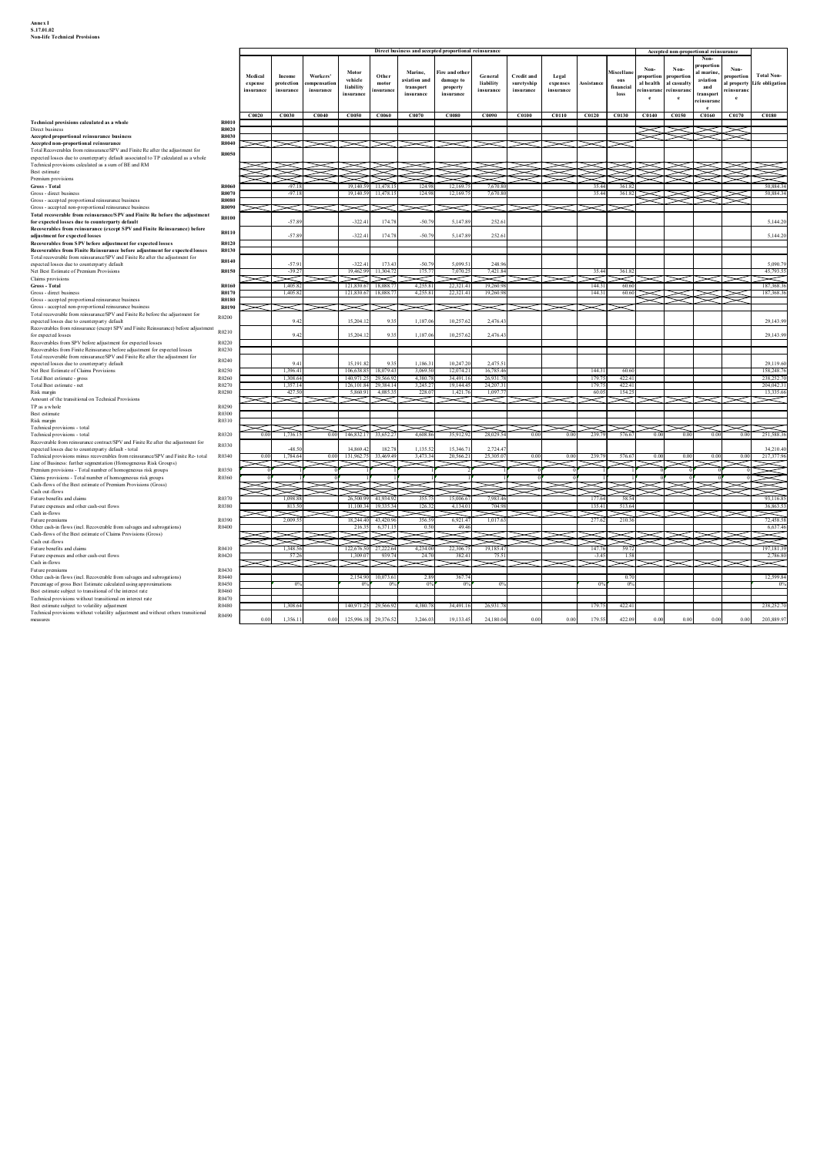| Annex I<br>S.17.01.02<br><b>Non-life Technical Provisions</b>                                                                                                                                                              |                              |                      |                              |                         |                                                                  |                |                                |                                                       |                                              |                         |                       |                           |                                       |                              |                                                                       |                         |                                       |
|----------------------------------------------------------------------------------------------------------------------------------------------------------------------------------------------------------------------------|------------------------------|----------------------|------------------------------|-------------------------|------------------------------------------------------------------|----------------|--------------------------------|-------------------------------------------------------|----------------------------------------------|-------------------------|-----------------------|---------------------------|---------------------------------------|------------------------------|-----------------------------------------------------------------------|-------------------------|---------------------------------------|
|                                                                                                                                                                                                                            |                              |                      |                              |                         |                                                                  |                |                                |                                                       |                                              |                         |                       |                           |                                       |                              |                                                                       |                         |                                       |
|                                                                                                                                                                                                                            |                              |                      |                              |                         |                                                                  |                |                                |                                                       |                                              |                         |                       |                           |                                       |                              |                                                                       |                         |                                       |
|                                                                                                                                                                                                                            |                              |                      |                              |                         |                                                                  |                |                                |                                                       |                                              |                         |                       |                           |                                       |                              |                                                                       |                         |                                       |
|                                                                                                                                                                                                                            |                              |                      |                              |                         |                                                                  |                |                                |                                                       |                                              |                         |                       |                           |                                       |                              |                                                                       |                         |                                       |
|                                                                                                                                                                                                                            |                              |                      |                              |                         |                                                                  |                |                                |                                                       |                                              |                         |                       |                           |                                       |                              |                                                                       |                         |                                       |
|                                                                                                                                                                                                                            |                              |                      |                              |                         |                                                                  |                |                                |                                                       |                                              |                         |                       |                           |                                       |                              |                                                                       |                         |                                       |
|                                                                                                                                                                                                                            |                              |                      |                              |                         |                                                                  |                |                                |                                                       |                                              |                         |                       |                           |                                       |                              |                                                                       |                         |                                       |
|                                                                                                                                                                                                                            |                              |                      |                              |                         |                                                                  |                |                                |                                                       |                                              |                         |                       |                           |                                       |                              |                                                                       |                         |                                       |
|                                                                                                                                                                                                                            |                              |                      |                              |                         |                                                                  |                |                                |                                                       |                                              |                         |                       |                           |                                       |                              |                                                                       |                         |                                       |
|                                                                                                                                                                                                                            |                              |                      |                              |                         |                                                                  |                |                                | Direct business and accepted proportional reinsurance |                                              |                         |                       |                           |                                       |                              | Accepted non-proportional reinsurance<br>Non-                         |                         |                                       |
|                                                                                                                                                                                                                            |                              | Medical              | Income<br>protection         | Workers'                | Motor<br>vehicle                                                 | Other<br>motor | Marine.<br>aviation and        | Fire and other<br>damage to                           | General<br>liability                         | <b>Credit and</b>       | Legal                 |                           | Miscellar<br>ous                      | Non-<br>roportion            | proportio<br>Non-<br>al marine<br>proportion<br>aviation              | Non-<br>oportio         | <b>Total Non-</b><br>Life obligation  |
|                                                                                                                                                                                                                            |                              | expense<br>insurance | insurance                    | ompensatio<br>insurance | liability<br><b>insurance</b>                                    | ısuranc        | transport<br>insurance         | property<br>insurance                                 | insurance                                    | suretyship<br>insurance | expenses<br>insurance | Assistance                | financial<br>loss                     | al health<br>e insuranc<br>e | al casualty<br>and<br>reinsurar<br>transpor<br>$\mathbf{e}$<br>insura | property<br>nsurar<br>e |                                       |
|                                                                                                                                                                                                                            | <b>R0010</b>                 | C0020                | C0030                        | C0040                   | C0050 C0060                                                      |                | C0070                          | C0080                                                 | C0090                                        |                         |                       |                           | C0100   C0110   C0120   C0130   C0140 |                              | C0150<br><b>C0160</b>                                                 | C0170                   | <b>C0180</b>                          |
| Technical provisions calculated as a whole<br>Direct business<br>Accepted proportional reinsurance business                                                                                                                | <b>R0020</b><br><b>R0030</b> |                      |                              |                         |                                                                  |                |                                |                                                       |                                              |                         |                       |                           |                                       |                              |                                                                       |                         |                                       |
| Accepted non-proportional reinsurance<br>Total Recoverables from reinsurance/SPV and Finite Re after the adjustment for<br>expected losses due to counterparty default associated to TP calculated as a whole              | R0040<br><b>R0050</b>        |                      |                              |                         |                                                                  |                |                                |                                                       |                                              |                         |                       |                           |                                       |                              |                                                                       |                         |                                       |
| Technical provisions calculated as a sum of BE and RM<br>Best estimate                                                                                                                                                     |                              |                      | ➤                            |                         | ᅩ<br>Y                                                           |                |                                |                                                       |                                              |                         |                       |                           |                                       |                              |                                                                       |                         |                                       |
| Premium provisions<br>Gross - Total<br>Gross - direct business                                                                                                                                                             | <b>R0060</b><br>R0070        |                      | $-971$<br>$-97.1$            |                         | 19,140.5<br>19,140.59 11,478.1                                   | 11478          | 124.98<br>124.98               | 12.169.<br>12,169.7                                   | 76708<br>7.670.80                            |                         |                       | 35.44<br>35.44            | 361.87<br>361.82                      |                              |                                                                       |                         | 50 884 34<br>50,884.34                |
| Gross - accepted proportional reinsurance business<br>Gross - accepted non-proportional reinsurance business                                                                                                               | <b>R0080</b><br><b>R0090</b> |                      |                              |                         | ><                                                               |                |                                |                                                       |                                              |                         |                       |                           |                                       |                              |                                                                       |                         |                                       |
| Total recoverable from reinsurance/SPV and Finite Re before the adjustment<br>for expected losses due to counterparty default<br>Recoverables from reinsurance (except SPV and Finite Reinsurance) before                  | R0100                        |                      | $-57.89$                     |                         | $-322.41$                                                        | 1747           | $-50.7$                        | 5.147.8                                               | 252.6                                        |                         |                       |                           |                                       |                              |                                                                       |                         | 5.144.20                              |
| adjustment for expected losses<br>Recoverables from SPV before adjustment for expected losses                                                                                                                              | R0110<br>R0120               |                      | $-57.89$                     |                         | $-322.41$                                                        | 174.7          | $-50.79$                       | 5,147.89                                              | 252.6                                        |                         |                       |                           |                                       |                              |                                                                       |                         | 5,144.20                              |
| Recoverables from Finite Reinsurance before adjustment for expected losses<br>Total recoverable from reinsurance/SPV and Finite Re after the adjustment for<br>expected losses due to counterparty default                 | R0130<br>R0140               |                      | $-57.91$                     |                         | $-322.41$                                                        | 173.4          | $-50.79$                       | 5,099.5                                               | 248.96                                       |                         |                       |                           |                                       |                              |                                                                       |                         | 5,090.79                              |
| Net Best Estimate of Premium Provisions<br>Claims provisions<br>Gross - Total                                                                                                                                              | R0150<br><b>R0160</b>        |                      | $-39.27$<br>N<br>1,405.82    |                         | 19,462.99 11,304.7<br>V<br>121,830.67                            | V<br>18,088.7  | 175.77<br>4,255.81             | 7,070.2<br>22,321.41                                  | 7,421.84<br>N<br>19,260.98                   |                         |                       | 35.44<br>144.31           | 361.82<br>N<br>60.60                  |                              |                                                                       |                         | 45,793.55<br>≂<br>187,368.36          |
| Gross - direct business<br>Gross - accepted proportional reinsurance business                                                                                                                                              | R0170<br><b>R0180</b>        |                      | 1,405.82                     |                         | 121,830.67 18,088.7                                              |                | 4,255.81                       | 22,321.41                                             | 19,260.98                                    |                         |                       | 144.31                    | 60.60                                 |                              |                                                                       |                         | 187,368.36                            |
| Gross - accepted non-proportional reinsurance business<br>Total recoverable from reinsurance/SPV and Finite Re before the adjustment for<br>expected losses due to counterparty default                                    | <b>R0190</b><br>R0200        |                      | $\asymp$<br>9.4              |                         | $\!$<br>15,204.12                                                | 93             | $\prec$<br>1,187.06            | 10,257.62                                             | 2,476.4                                      |                         |                       |                           |                                       |                              |                                                                       |                         | 29,143.99                             |
| Recoverables from reinsurance (except SPV and Finite Reinsurance) before adjustment R0210<br>for expected losses                                                                                                           |                              |                      | 9.42                         |                         | 15,204.                                                          | 93             | 1,187.06                       | 10,257.6                                              | 2,476.4                                      |                         |                       |                           |                                       |                              |                                                                       |                         | 29,143.9                              |
| Recoverables from SPV before adjustment for expected losses<br>Recoverables from Finite Reinsurance before adjustment for expected losses<br>Total recoverable from reinsurance/SPV and Finite Re after the adjustment for | R0220<br>R0230               |                      |                              |                         |                                                                  |                |                                |                                                       |                                              |                         |                       |                           |                                       |                              |                                                                       |                         |                                       |
| expected losses due to counterparty default<br>Net Best Estimate of Claims Provisions                                                                                                                                      | R0240<br>R0250               |                      | 94                           |                         | 15,191.82                                                        | $-9.35$        | 1,186.31                       | 10,247.2                                              | 2,475.5                                      |                         |                       |                           |                                       |                              |                                                                       |                         | 29,119.60                             |
| Total Best estimate - gross<br>Total Best estimate - net<br>Risk margin                                                                                                                                                    | R0260<br>R0270<br>R0280      |                      | 1.308.6<br>1,357.1<br>427.50 |                         | 140 971 25 29:566.9<br>126, 101.84 29, 384.1<br>5.860.91 4,085.3 |                | 4.380.78<br>3,245.27<br>228.07 | 34,491.1<br>19,144.45<br>1.421.7                      | 26.931<br>24,207.<br>1.097.7                 |                         |                       | 179.75<br>179.75<br>60.05 | 422.41<br>422.41<br>154.25            |                              |                                                                       |                         | 238,252.70<br>204,042.31<br>13,335.66 |
| Amount of the transitional on Technical Provisions<br>TP as a whole                                                                                                                                                        | R0290                        |                      | $\approx$                    |                         | $\bowtie$                                                        |                |                                |                                                       | $\sim$                                       |                         |                       | ≂                         | ≂                                     |                              | 737                                                                   | $\asymp$                | $\!=$                                 |
| Best estimate<br>Risk margin<br>Technical provisions - total                                                                                                                                                               | R0300<br>R0310               |                      |                              |                         |                                                                  |                |                                | $\prec$ r $\prec$                                     |                                              |                         |                       |                           | 1><1><1                               | ⊂ । $>\!\!<$ । $>$           |                                                                       | $\asymp$                | $\asymp$                              |
| Technical provisions - total<br>Recoverable from reinsurance contract/SPV and Finite Re after the adjustment for                                                                                                           | R0320<br>R0330               | 0.00                 | 1,736.15                     |                         | 0.00 146,832.17 33,652.2                                         |                | 4.608.86                       | 35,912.92                                             | 28,029.54                                    | 0.00                    | 0.00                  | 239.79                    | 576.67                                | 0.00                         | 0.00<br>0.00                                                          | 0.00                    | 251,588.36                            |
| expected losses due to counterparty default - total<br>Technical provisions minus recoverables from reinsurance/SPV and Finite Re- total<br>Line of Business: further segmentation (Homogeneous Risk Groups)               | R0340                        | 0.00                 | $-48.5$<br>1,784.64          | 0.00                    | 14,869.42<br>131,962.75 33,469.4                                 | 182.7          | 1,135.52<br>3.473.34           | 15,346.7<br>20,566.2                                  | 2,724.47<br>25,305.0                         | 0.00                    | 0.00                  | 239.79                    | 576.67                                | 0.00                         | 0.00<br>00                                                            | 0.0                     | 34,210.40<br>217,377.96<br>X          |
| Premium provisions - Total number of homogeneous risk groups<br>Claims provisions - Total number of homogeneous risk groups<br>Cash-flows of the Best estimate of Premium Provisions (Gross)                               | R0350<br>R0360               |                      |                              |                         |                                                                  |                |                                |                                                       |                                              |                         |                       |                           |                                       |                              |                                                                       |                         |                                       |
| Cash out-flows<br>Future benefits and claims                                                                                                                                                                               | R0370                        |                      | 1.098.8                      |                         | 26.500.99 41.934.9                                               |                | 355.75                         | 15,006.6                                              | 7.983.46                                     |                         |                       | 177.64                    | 58.54                                 |                              |                                                                       |                         | 93.116.85                             |
| Future expenses and other cash-out flows<br>Cash in-flows                                                                                                                                                                  | R0380<br>R0390               |                      | 813.50<br>≂<br>2.009.5       |                         | 11.100.34 19.335.<br>$\checkmark$<br>18,244.40 43,420            |                | 126.32<br>356 *                | 41340                                                 | 704.99<br>$\overline{\phantom{a}}$<br>1,017. |                         |                       | 135.41<br>Y               | 513.64<br>参                           |                              |                                                                       |                         | 36,863.53<br>≂<br>72,458.58           |
| Future premiums<br>Other cash-in flows (incl. Recoverable from salvages and subrogations)<br>Cash-flows of the Best estimate of Claims Provisions (Gross)                                                                  | R0400                        |                      | ⋚                            |                         | 216.35                                                           | 6,371.         | 0.50                           | 6,921.4<br>49.46                                      |                                              |                         |                       |                           | $\gg$                                 |                              |                                                                       |                         | 6,637.46<br>Ź                         |
| Cash out-flows<br>Future benefits and claims<br>Future expenses and other cash-out flows                                                                                                                                   | R0410<br>R0420               |                      | 1.348.56<br>57.26            |                         | ⋝⋜<br>122,676.50 27.22<br>1,309.07                               | 939.           | 4.234.00<br>24.70              | 22.306.7<br>382.41                                    | 19.185.47                                    |                         |                       | ≍₹<br>147.76<br>$-3.45$   | 59.77<br>1.58                         |                              |                                                                       |                         | 197,181.3<br>2,786.80                 |
| Cash in-flows<br>Future premiums                                                                                                                                                                                           | R0430                        |                      |                              |                         |                                                                  |                |                                |                                                       |                                              |                         |                       |                           |                                       |                              |                                                                       |                         | $\ltimes$                             |
| Other cash-in flows (incl. Recoverable from salvages and subrogations)<br>Percentage of gross Best Estimate calculated using approximations<br>Best estimate subject to transitional of the interest rate                  | R0440<br>R0450<br>R0460      |                      | 0%                           |                         | 2,154.90 10,073.6<br>0%                                          | $^{\circ}$     | 2.89<br>$0\%$                  | 367.74<br>0 <sup>0</sup>                              |                                              |                         |                       | 0%                        | 0.70<br>0%                            |                              |                                                                       |                         | 12,599.84<br>0%                       |
| Technical provisions without transitional on interest rate                                                                                                                                                                 | R0470<br>R0480               |                      | 1,308.64                     |                         | 140,971.25                                                       | 29,566.9       | 4,380.78                       | 34,491.16                                             | 26,931.                                      |                         |                       | 179.75                    | 422.41                                |                              |                                                                       |                         | 238,252.70                            |
| Best estimate subject to volatility adjustment<br>Technical provisions without volatility adjustment and without others transitional                                                                                       |                              |                      |                              |                         |                                                                  |                |                                |                                                       |                                              |                         |                       |                           |                                       |                              |                                                                       |                         |                                       |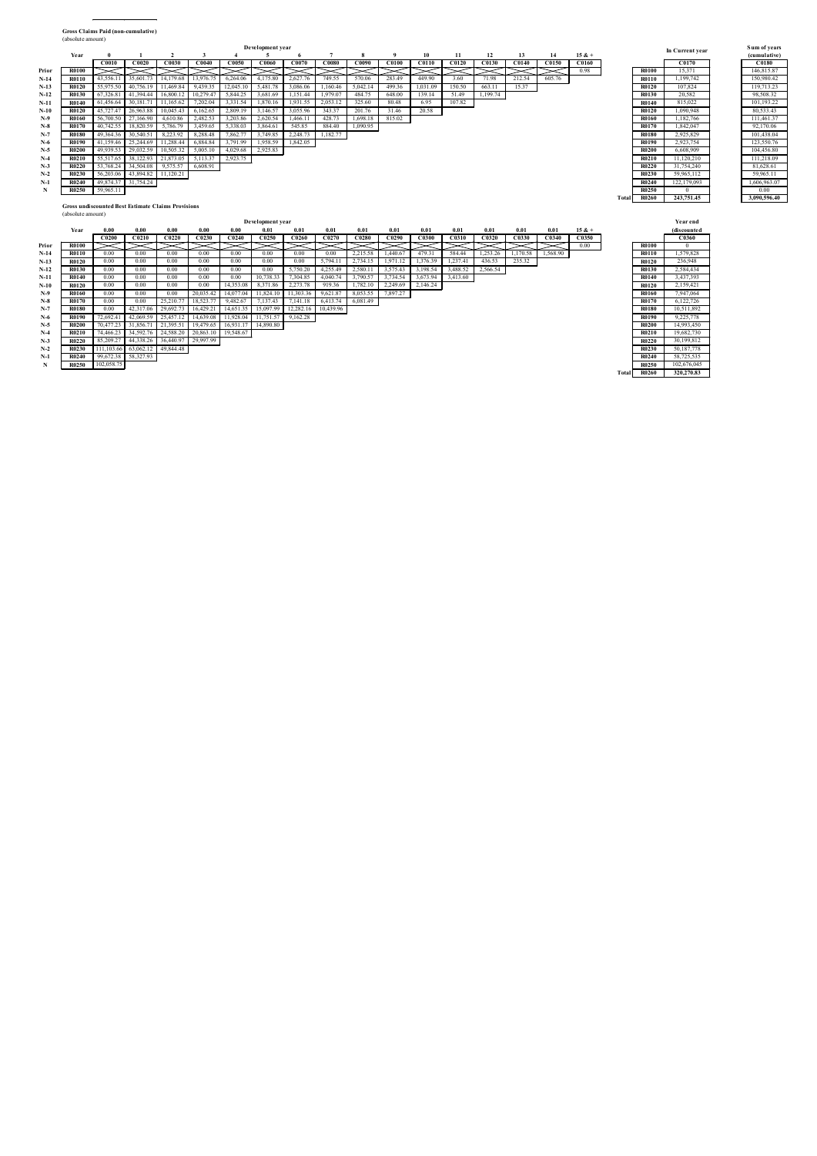| <b>Gross Claims Paid (non-cumulative)</b><br>(absolute amount)<br>Sum of years<br>Development year<br>In Current year<br>$\overline{2}$<br>Year<br>$\mathbf{1}$<br>$\overline{\mathbf{3}}$<br>$\overline{4}$<br>5 <sup>5</sup><br>$\overline{7}$<br>10<br>11<br>12<br>13<br>14<br>$15 & +$<br>(cumulative)<br>- 0<br>$\mathbf{q}$<br>C0040<br>C0050 C0060 C0070 C0080 C0090 C0100 C0110 C0120<br>C0130 C0140 C0150 C0160<br>C0010 C0020 C0030<br>C0170<br>C0180<br><b>R0100</b><br>$\bowtie \bowtie \bowtie$<br>$\times$<br>$\bowtie\bowtie\bowtie\bowtie$<br>$\bowtie \bowtie$<br>$\ge$ 0.98<br>15,371<br>146.815.87<br>Prior<br><b>R0100</b><br>$\gg\gg$<br>$>\!\!<\!\!\!-\!\!\!<$<br>$N-14$<br><b>R0110</b><br>150,980.42<br><b>R0110</b><br>43,556.11<br>14,179.68<br>13,976.75<br>6,264.06<br>749.55<br>570.06<br>283.49<br>449.90<br>3.60<br>71.98<br>212.54<br>605.76<br>1,199,742<br>35,601.73<br>4.175.80<br>2.627.76<br>$N-13$<br>55,975.50<br>40,756.19<br>11,469.84<br>9,439.35<br>12,045.10<br>5,481.78<br>3,086.06 1,160.46<br>5,042.14<br>499.36<br>1,031.09<br>150.50<br>663.11<br>15.37<br><b>R0120</b><br>107,824<br><b>R0120</b><br>119,713.23<br>$N-12$<br>R0130<br>67,326.81 41,394.44<br>16,800.12<br>10,279.47<br>5,844.25<br>3,681.69<br>1,151.44 1,979.07<br>484.75<br>648.00<br>139.14<br>51.49<br>1,199.74<br>R0130<br>20,582<br>98,508.32<br>$N-11$<br><b>R0140</b><br>61,456.64<br>30,181.71<br>11,165.62<br>7,202.04<br>3,331.54<br>1,870.16<br>1,931.55<br>2,053.12<br>325.60<br>80.48<br>6.95<br>107.82<br><b>R0140</b><br>815,022<br>101,193.22<br>$N-10$<br><b>R0120</b><br>45,727.47 26,963.88<br>10,045.43<br>6,162.65<br>2,809.19 3,146.57<br>3,055.96<br>343.37<br>201.76<br>31.46<br>20.58<br><b>R0120</b><br>1.090.948<br>80,533.43<br>111,461.37<br>$N-9$<br>56.700.50<br>27,166.90<br>2,482.53<br>3.203.86 2.620.54<br>1,466.11 428.73<br>1,698.18<br>815.02<br>1.182.766<br><b>R0160</b><br>4.610.86<br><b>R0160</b><br>40,742.55<br>1.842.047<br>92,170.06<br>$_{\rm N-8}$<br>R0170<br>18.820.59<br>5.786.79<br>3.459.65<br>5.338.03<br>3.864.61<br>545.85<br>1,090.95<br>R0170<br>884.40<br>2,248.73 1,182.77<br>2,925,829<br>101,438.04<br>$N-7$<br>49,364.36<br>30,540.51<br>8,223.92<br>8,288.48<br>7,862.77 3,749.85<br><b>R0180</b><br><b>R0180</b><br>41,159.46 25,244.69 11,288.44<br>6,884.84<br>3,791.99 1,958.59 1,842.05<br>2,923,754<br>123,550.76<br>$N-6$<br>R0190<br><b>R0190</b><br>$N-5$<br><b>R0200</b><br>49,939.53 29,032.59<br>10,505.32<br>5,005.10<br>4,029.68 2,925.83<br><b>R0200</b><br>6,608,909<br>104,456.80<br>21,873.05<br>5,113.37<br>2,923.75<br>11,120,210<br>$N-4$<br>R0210<br>55.517.65<br>38,122.93<br><b>R0210</b><br>111,218.09<br>$N-3$<br><b>R0220</b><br>53.768.24 34.504.08<br>9.575.57<br>6,608.91<br><b>R0220</b><br>31,754,240<br>81,628.61<br>56,203.06 43,894.82 11,120.21<br>59,965,112<br>59,965.11<br>$N-2$<br>R0230<br><b>R0230</b><br>$N-1$<br><b>R0240</b><br>1,606,963.07<br>R0240<br>49,874.37 31,754.24<br>122,179,093<br>59,965.11<br>${\bf N}$<br>0.00<br><b>R0250</b><br>R0250<br>$\mathbf{0}$<br><b>R0260</b><br>243,751.45<br>3,090,596.40<br>Total<br><b>Gross undiscounted Best Estimate Claims Provisions</b><br>(absolute amount)<br>Development year<br>Year end<br>0.00<br>0.00<br>0.00<br>0.00<br>0.00<br>0.01<br>0.01<br>0.01<br>0.01<br>0.01<br>0.01<br>0.01<br>0.01<br>0.01<br>$15 & +$<br>Year<br>0.01<br>(discounted<br>C0200<br>C0210<br>C0220<br>C0230<br>C0240<br>C0260 C0270<br>C0290<br>C0300 C0310<br>C0320<br>C0330   C0340   C0350<br>C0360<br>C <sub>0250</sub><br>C <sub>0280</sub><br>$\approx$<br>0.00<br><b>R0100</b><br>Prior<br><b>R0100</b><br>$\asymp$<br>$\mathbf{0}$<br>0.00<br>0.00<br>0.00<br>0.00<br>0.00<br>0.00<br>0.00<br>479.31 584.44<br>1,253.26 1,170.58 1,568.90<br><b>R0110</b><br>1,579,828<br>$N-14$<br><b>R0110</b><br>0.00<br>2,215.58<br>1,440.67<br>$N-13$<br><b>R0120</b><br>0.00<br>0.00<br>0.00<br>0.00<br>0.00<br>0.00<br>0.00<br>5,794.11<br>2,734.15<br>1,971.12 1,376.39 1,237.41<br>436.53<br>235.32<br><b>R0120</b><br>236,948<br>$N-12$<br>R0130<br>0.00<br>0.00<br>0.00<br>$0.00\,$<br>0.00<br>0.00<br>5,750.20 4,255.49<br>2,580.11<br>3,575.43 3,198.54 3,488.52<br>2,566.54<br><b>R0130</b><br>2,584,434<br>0.00<br>0.00<br>10,738.33 7,304.85 4,040.74<br>3,790.57 3,734.54 3,673.94 3,413.60<br>$N-11$<br><b>R0140</b><br>0.00<br>0.00<br>0.00<br><b>R0140</b><br>3,437,393<br>0.00<br>0.00<br>14,353.08<br>2,273.78 919.36<br>1,782.10<br>2,249.69 2,146.24<br>$N-10$<br>0.00<br>0.00<br>8.371.86<br>2.159.421<br><b>R0120</b><br>R0120 |       |                                                                                                               |                    |  |
|----------------------------------------------------------------------------------------------------------------------------------------------------------------------------------------------------------------------------------------------------------------------------------------------------------------------------------------------------------------------------------------------------------------------------------------------------------------------------------------------------------------------------------------------------------------------------------------------------------------------------------------------------------------------------------------------------------------------------------------------------------------------------------------------------------------------------------------------------------------------------------------------------------------------------------------------------------------------------------------------------------------------------------------------------------------------------------------------------------------------------------------------------------------------------------------------------------------------------------------------------------------------------------------------------------------------------------------------------------------------------------------------------------------------------------------------------------------------------------------------------------------------------------------------------------------------------------------------------------------------------------------------------------------------------------------------------------------------------------------------------------------------------------------------------------------------------------------------------------------------------------------------------------------------------------------------------------------------------------------------------------------------------------------------------------------------------------------------------------------------------------------------------------------------------------------------------------------------------------------------------------------------------------------------------------------------------------------------------------------------------------------------------------------------------------------------------------------------------------------------------------------------------------------------------------------------------------------------------------------------------------------------------------------------------------------------------------------------------------------------------------------------------------------------------------------------------------------------------------------------------------------------------------------------------------------------------------------------------------------------------------------------------------------------------------------------------------------------------------------------------------------------------------------------------------------------------------------------------------------------------------------------------------------------------------------------------------------------------------------------------------------------------------------------------------------------------------------------------------------------------------------------------------------------------------------------------------------------------------------------------------------------------------------------------------------------------------------------------------------------------------------------------------------------------------------------------------------------------------------------------------------------------------------------------------------------------------------------------------------------------------------------------------------------------------------------------------------------------------------------------------------------------------------------------------------------------------------------------------------------------------------------------------------------------------------------------------------------------------------------------------------------------------------------------------------------------------------------------------------------------------------------------------------------------------------------------------------------------------------------|-------|---------------------------------------------------------------------------------------------------------------|--------------------|--|
|                                                                                                                                                                                                                                                                                                                                                                                                                                                                                                                                                                                                                                                                                                                                                                                                                                                                                                                                                                                                                                                                                                                                                                                                                                                                                                                                                                                                                                                                                                                                                                                                                                                                                                                                                                                                                                                                                                                                                                                                                                                                                                                                                                                                                                                                                                                                                                                                                                                                                                                                                                                                                                                                                                                                                                                                                                                                                                                                                                                                                                                                                                                                                                                                                                                                                                                                                                                                                                                                                                                                                                                                                                                                                                                                                                                                                                                                                                                                                                                                                                                                                                                                                                                                                                                                                                                                                                                                                                                                                                                                                                                                                      |       |                                                                                                               |                    |  |
|                                                                                                                                                                                                                                                                                                                                                                                                                                                                                                                                                                                                                                                                                                                                                                                                                                                                                                                                                                                                                                                                                                                                                                                                                                                                                                                                                                                                                                                                                                                                                                                                                                                                                                                                                                                                                                                                                                                                                                                                                                                                                                                                                                                                                                                                                                                                                                                                                                                                                                                                                                                                                                                                                                                                                                                                                                                                                                                                                                                                                                                                                                                                                                                                                                                                                                                                                                                                                                                                                                                                                                                                                                                                                                                                                                                                                                                                                                                                                                                                                                                                                                                                                                                                                                                                                                                                                                                                                                                                                                                                                                                                                      |       |                                                                                                               |                    |  |
| R0160<br>$_{\mathbf{N-8}}$<br><b>R0170</b><br>0.00<br>0.00<br>25,210.77<br>18,523.77<br>9,482.67<br>7,137.43<br>7,141.18 6,413.74<br>6,081.49<br><b>R0170</b><br>6,122,726<br>$N-7$<br><b>R0180</b><br>0.00<br>29,692.73<br>16,429.21<br>14,651.35<br>15,097.99<br>12,282.16<br>10,439.96<br><b>R0180</b><br>10,511,892<br>42,317.06<br>$N-6$<br>R0190 72,692.41 42,069.59 25,457.12 14,639.08 11,928.04 11,751.57 9,162.28<br><b>R0190</b><br>9,225,778<br>$N-5$<br>R0200 70,477.23 31,856.71 21,395.51 19,479.65 16,931.17 14,890.80<br><b>R0200</b><br>14,993,450<br>R0210 74,466.23 34,592.76 24,588.20 20,863.10 19,548.67<br>$N-4$<br>R0210<br>19,682,730<br>R0220 85,209.27 44,338.26 36,440.97 29,997.99<br>R0220 30,199,812<br>$N-3$<br>R0230 111,103.66 63,062.12 49,844.48<br>R0230 50,187,778<br>$N-2$<br>R0240 99,672.38 58,327.93<br>R0240 58,725,535<br>$N-1$<br>R0250 102,058.75<br>R0250 102,676,045<br>$\mathbf N$<br>Total R0260 320,270.83                                                                                                                                                                                                                                                                                                                                                                                                                                                                                                                                                                                                                                                                                                                                                                                                                                                                                                                                                                                                                                                                                                                                                                                                                                                                                                                                                                                                                                                                                                                                                                                                                                                                                                                                                                                                                                                                                                                                                                                                                                                                                                                                                                                                                                                                                                                                                                                                                                                                                                                                                                                                                                                                                                                                                                                                                                                                                                                                                                                                                                                                                                                                                                                                                                                                                                                                                                                                                                                                                                                                                                                                                                                       | $N-9$ | 0.00<br>20.035.42<br>8,053.55<br>7,897.27<br>$0.00 -$<br>0.00<br>14.077.04<br>11.824.10<br>11,303.36 9,621.87 | R0160<br>7.947.064 |  |

| 0.008.909   |
|-------------|
| 11,120,210  |
| 31.754.240  |
| 59,965,112  |
| 122,179,093 |
| $\theta$    |
| 243,751.45  |
|             |
|             |
| Year end    |
| (discounted |
| C0360       |
| 0           |
| 1,579,828   |
| 236,948     |
| 2,584,434   |
| 3,437,393   |
| 2,159,421   |
| 7,947,064   |
| 6.122.726   |
| 10,511,892  |
| 9.225.778   |
| 14,993,450  |
| 19,682,730  |
| 30.199.812  |
|             |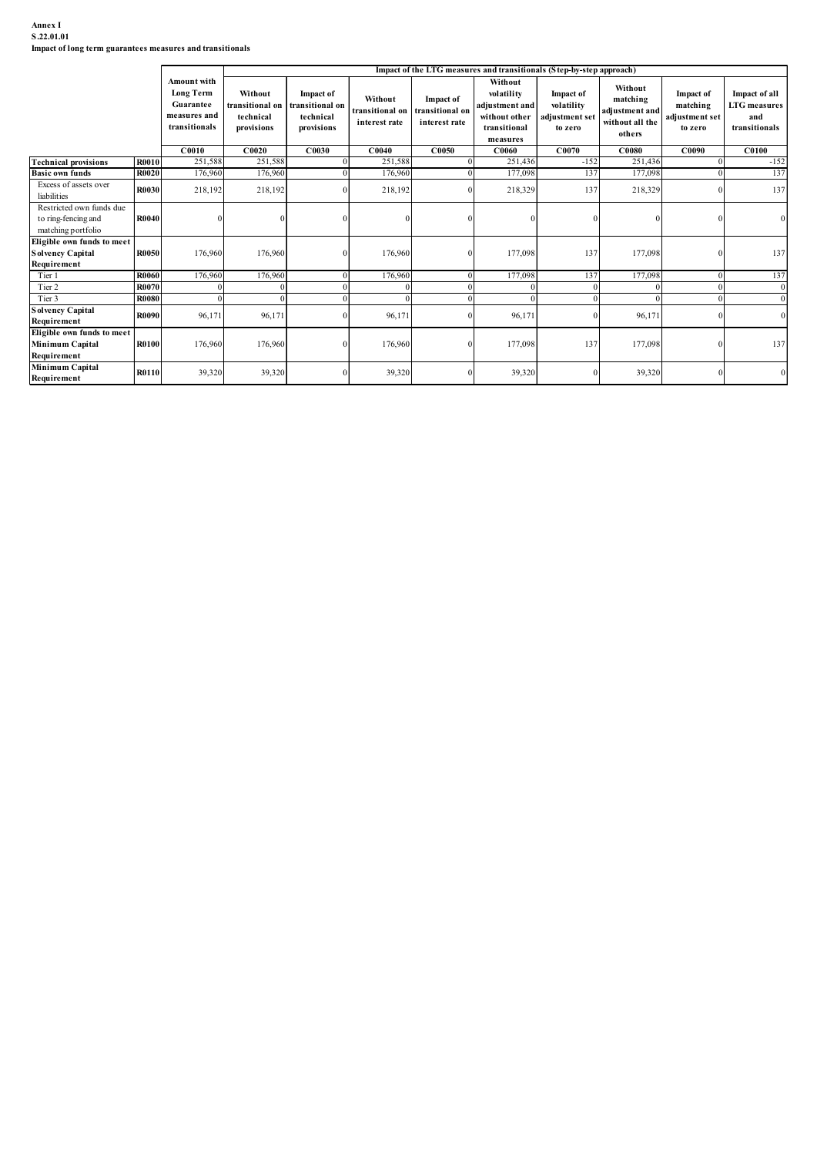# Annex I S.22.01.01

| Annex I<br>S.22.01.01<br>Impact of long term guarantees measures and transitionals             |                       |                                                                               |                                                      |                                                         |                                             |                                                      |                                                                                                                                                 |                                                      |                                                                    |                                                           |                                                              |
|------------------------------------------------------------------------------------------------|-----------------------|-------------------------------------------------------------------------------|------------------------------------------------------|---------------------------------------------------------|---------------------------------------------|------------------------------------------------------|-------------------------------------------------------------------------------------------------------------------------------------------------|------------------------------------------------------|--------------------------------------------------------------------|-----------------------------------------------------------|--------------------------------------------------------------|
|                                                                                                |                       | Amount with<br><b>Long Term</b><br>Guarantee<br>measures and<br>transitionals | Without<br>ransitional on<br>technical<br>provisions | Impact of<br>transitional on<br>technical<br>provisions | Without<br>transitional on<br>interest rate | <b>Impact of</b><br>transitional on<br>interest rate | Impact of the LTG measures and transitionals (Step-by-step approach)<br>Without<br>volatility<br>djustment and<br>without other<br>transitional | Impact of<br>volatility<br>adjustment set<br>to zero | Without<br>matching<br>adjustment and<br>without all the<br>others | <b>Impact of</b><br>matching<br>adjustment set<br>to zero | Impact of all<br><b>LTG</b> measures<br>and<br>transitionals |
|                                                                                                |                       | C0010                                                                         | C0020                                                | C0030                                                   | C0040                                       | C0050                                                | measures<br>C0060                                                                                                                               | C0070                                                | $\bf C0080$                                                        | C0090                                                     | <b>C0100</b>                                                 |
| <b>Technical provisions</b>                                                                    | <b>R0010</b>          | 251,588                                                                       | 251,588                                              |                                                         | 251,588                                     |                                                      | 251,436                                                                                                                                         | $-152$                                               | 251,436                                                            |                                                           | $-152$                                                       |
| <b>Basic own funds</b><br>Excess of assets over                                                | <b>R0020</b>          | 176,960                                                                       | 176,960                                              |                                                         | 176,960                                     |                                                      | 177,098                                                                                                                                         | 137                                                  | 177,098                                                            |                                                           | 137                                                          |
| liabilities                                                                                    | R0030                 | 218,192                                                                       | 218,192                                              |                                                         | 218,192                                     |                                                      | 218,329                                                                                                                                         | 137                                                  | 218,329                                                            |                                                           | 13 <sup>7</sup>                                              |
| Restricted own funds due<br>to ring-fencing and<br>matching portfolio                          | R0040                 |                                                                               |                                                      | $\Omega$                                                |                                             |                                                      |                                                                                                                                                 |                                                      |                                                                    |                                                           |                                                              |
|                                                                                                |                       | 176,960                                                                       | 176,960                                              | $\Omega$                                                | 176,960                                     |                                                      | 177,098                                                                                                                                         | 137                                                  | 177,098                                                            |                                                           | 137                                                          |
| Eligible own funds to meet<br><b>Solvency Capital</b>                                          | <b>R0050</b>          |                                                                               |                                                      |                                                         |                                             |                                                      | 177,098                                                                                                                                         | 137                                                  | 177,098                                                            |                                                           | 137                                                          |
| Requirement<br>Tier 1                                                                          | R0060                 | 176,960                                                                       | 176,960                                              |                                                         | 176,960                                     |                                                      |                                                                                                                                                 |                                                      |                                                                    |                                                           |                                                              |
| Tier 2                                                                                         | R007                  |                                                                               |                                                      |                                                         |                                             |                                                      |                                                                                                                                                 |                                                      |                                                                    |                                                           |                                                              |
| Tier 3<br><b>Solvency Capital</b>                                                              | <b>R0080</b><br>R0090 | 96,171                                                                        | 96,171                                               |                                                         | $\Omega$<br>96,171                          |                                                      | 96,17                                                                                                                                           |                                                      | $\Omega$<br>96,171                                                 |                                                           |                                                              |
| Requirement<br>Eligible own funds to meet<br>Minimum Capital<br>Requirement<br>Minimum Capital | R0100                 | 176,960                                                                       | 176,960                                              | $\Omega$                                                | 176,960                                     |                                                      | 177,098                                                                                                                                         | 137                                                  | 177,098                                                            |                                                           | 137                                                          |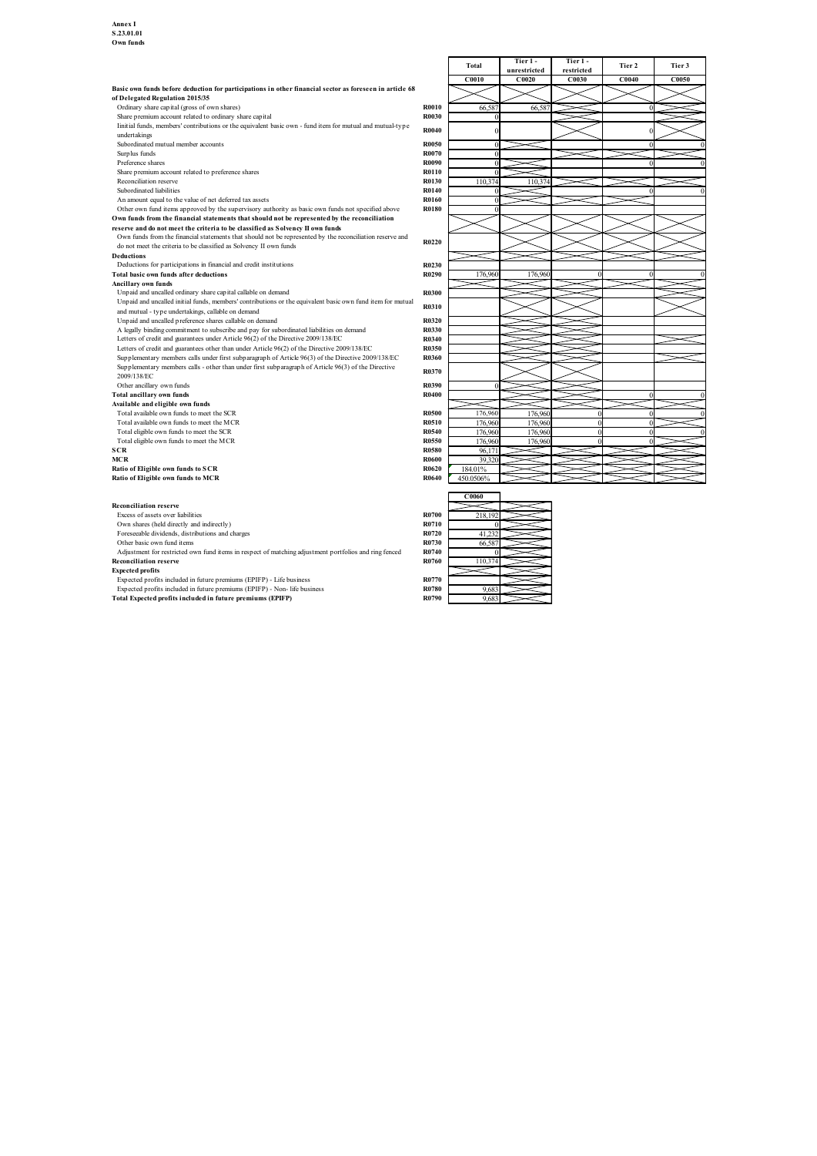|                                                                                                                                                                                |                       | <b>Total</b>    | Tier 1-      | Tier 1-    | Tier 2 | Tier 3       |
|--------------------------------------------------------------------------------------------------------------------------------------------------------------------------------|-----------------------|-----------------|--------------|------------|--------|--------------|
|                                                                                                                                                                                |                       |                 | unrestricted | restricted |        |              |
| Basic own funds before deduction for participations in other financial sector as foreseen in article 68                                                                        |                       | C0010           | C0020        | C0030      | C0040  | <b>C0050</b> |
| of Delegated Regulation 2015/35                                                                                                                                                |                       |                 |              |            |        |              |
| Ordinary share capital (gross of own shares)                                                                                                                                   | <b>R0010</b>          | 66,587          | 66,58        |            |        |              |
| Share premium account related to ordinary share capital                                                                                                                        | R0030                 | $\Omega$        |              |            |        |              |
| linitial funds, members' contributions or the equivalent basic own - fund item for mutual and mutual-type                                                                      |                       |                 |              |            |        |              |
| undertakings                                                                                                                                                                   | <b>R0040</b>          | $\Omega$        |              |            |        |              |
| Subordinated mutual member accounts                                                                                                                                            | <b>R0050</b>          |                 |              |            | n      |              |
| Surplus funds                                                                                                                                                                  | <b>R0070</b>          | $\Omega$        |              |            |        |              |
| Preference shares                                                                                                                                                              | R0090                 | $\Omega$        |              |            |        |              |
| Share premium account related to preference shares                                                                                                                             | R0110                 |                 |              |            |        |              |
| Reconciliation reserve                                                                                                                                                         | R0130                 | 110,374         | 110,374      |            |        |              |
| Subordinated liabilities                                                                                                                                                       | R0140                 |                 |              |            |        |              |
| An amount equal to the value of net deferred tax assets                                                                                                                        | R0160                 | $\Omega$        |              |            |        |              |
| Other own fund items approved by the supervisory authority as basic own funds not specified above                                                                              | <b>R0180</b>          | $\Omega$        |              |            |        |              |
| Own funds from the financial statements that should not be represented by the reconciliation                                                                                   |                       |                 |              |            |        |              |
| reserve and do not meet the criteria to be classified as Solvency II own funds                                                                                                 |                       |                 |              |            |        |              |
| Own funds from the financial statements that should not be represented by the reconciliation reserve and<br>do not meet the criteria to be classified as Solvency II own funds | R0220                 |                 |              |            |        |              |
| Deductions                                                                                                                                                                     |                       |                 |              |            |        |              |
| Deductions for participations in financial and credit institutions                                                                                                             | R0230                 |                 |              |            |        |              |
| Total basic own funds after deductions                                                                                                                                         | R0290                 | 176,960         | 176,960      |            | 0      |              |
| Ancillary own funds                                                                                                                                                            |                       |                 |              |            |        |              |
| Unpaid and uncalled ordinary share capital callable on demand                                                                                                                  | <b>R0300</b>          |                 |              |            |        |              |
| Unpaid and uncalled initial funds, members' contributions or the equivalent basic own fund item for mutual                                                                     |                       |                 |              |            |        |              |
| and mutual - type undertakings, callable on demand                                                                                                                             | R0310                 |                 |              |            |        |              |
| Unpaid and uncalled preference shares callable on demand                                                                                                                       | R0320                 |                 |              |            |        |              |
| A legally binding commitment to subscribe and pay for subordinated liabilities on demand                                                                                       | R0330                 |                 |              |            |        |              |
| Letters of credit and guarantees under Article 96(2) of the Directive 2009/138/EC                                                                                              | R0340                 |                 |              |            |        |              |
| Letters of credit and guarantees other than under Article 96(2) of the Directive 2009/138/EC                                                                                   | R0350                 |                 |              |            |        |              |
| Supplementary members calls under first subparagraph of Article 96(3) of the Directive 2009/138/EC                                                                             | R0360                 |                 |              |            |        |              |
| Supplementary members calls - other than under first subparagraph of Article 96(3) of the Directive                                                                            | R0370                 |                 |              |            |        |              |
| 2009/138/EC                                                                                                                                                                    |                       |                 |              |            |        |              |
| Other ancillary own funds                                                                                                                                                      | R0390                 |                 |              |            |        |              |
| Total ancillary own funds                                                                                                                                                      | R0400                 |                 |              |            | n      |              |
| Available and eligible own funds                                                                                                                                               |                       |                 |              |            |        |              |
| Total available own funds to meet the SCR                                                                                                                                      | <b>R0500</b>          | 176,960         | 176,960      |            |        |              |
| Total available own funds to meet the MCR                                                                                                                                      | R0510                 | 176,960         | 176,960      |            |        |              |
| Total eligible own funds to meet the SCR                                                                                                                                       | R0540                 | 176,960         | 176,960      | $\Omega$   |        |              |
| Total eligible own funds to meet the MCR                                                                                                                                       | R0550                 | 176,960         | 176,960      |            |        |              |
| SCR                                                                                                                                                                            | <b>R0580</b>          | 96,17<br>39.320 |              |            |        |              |
| MCR<br>Ratio of Eligible own funds to SCR                                                                                                                                      | <b>R0600</b><br>R0620 | 184.01%         |              |            |        |              |
| Ratio of Eligible own funds to MCR                                                                                                                                             | R0640                 | 450.0506%       |              |            |        |              |
|                                                                                                                                                                                |                       |                 |              |            |        |              |
|                                                                                                                                                                                |                       | C0060           |              |            |        |              |
| <b>Reconciliation reserve</b>                                                                                                                                                  |                       |                 |              |            |        |              |
| Excess of assets over liabilities                                                                                                                                              | <b>R0700</b>          | 218,192         |              |            |        |              |
| Own shares (held directly and indirectly)                                                                                                                                      | R0710                 |                 |              |            |        |              |
| Foreseeable dividends, distributions and charges                                                                                                                               | R0720                 | 41,232          |              |            |        |              |
| Other basic own fund items                                                                                                                                                     | R0730                 | 66,587          |              |            |        |              |
| Adjustment for restricted own fund items in respect of matching adjustment portfolios and ring fenced                                                                          | R0740                 |                 |              |            |        |              |
| <b>Reconciliation reserve</b>                                                                                                                                                  | R0760                 | 110,374         |              |            |        |              |
| <b>Expected profits</b>                                                                                                                                                        |                       |                 |              |            |        |              |
| Expected profits included in future premiums (EPIFP) - Life business                                                                                                           | R0770                 |                 |              |            |        |              |
| Expected profits included in future premiums (EPIFP) - Non- life business                                                                                                      | R0780                 | 9.68            |              |            |        |              |
| Total Expected profits included in future premiums (EPIFP)                                                                                                                     | R0790                 | 9.683           |              |            |        |              |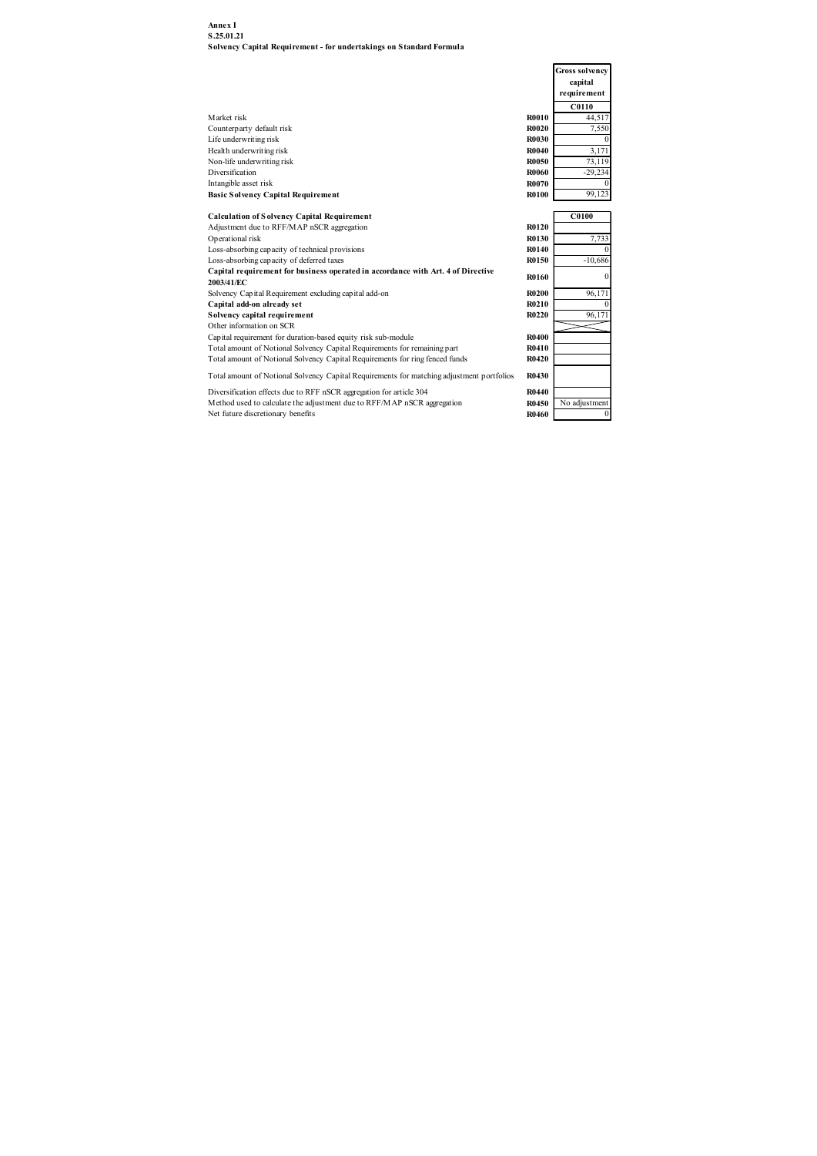| Annex I                                                                                                      |                              |                           |  |
|--------------------------------------------------------------------------------------------------------------|------------------------------|---------------------------|--|
| S.25.01.21                                                                                                   |                              |                           |  |
| Solvency Capital Requirement - for undertakings on Standard Formula                                          |                              |                           |  |
|                                                                                                              |                              | <b>Gross solvency</b>     |  |
|                                                                                                              |                              | capital                   |  |
|                                                                                                              |                              | requirement               |  |
|                                                                                                              |                              | C0110                     |  |
| Market risk                                                                                                  | <b>R0010</b>                 | 44,517                    |  |
| Counterparty default risk                                                                                    | <b>R0020</b><br><b>R0030</b> | 7,550                     |  |
| Life underwriting risk<br>Health underwriting risk                                                           | <b>R0040</b>                 | 3,171                     |  |
| Non-life underwriting risk                                                                                   | <b>R0050</b>                 | 73,119                    |  |
| Diversification                                                                                              | <b>R0060</b>                 | $-29,234$                 |  |
| Intangible asset risk                                                                                        | <b>R0070</b>                 |                           |  |
| <b>Basic Solvency Capital Requirement</b>                                                                    | <b>R0100</b>                 | 99,123                    |  |
| <b>Calculation of Solvency Capital Requirement</b>                                                           |                              | C0100                     |  |
| Adjustment due to RFF/MAP nSCR aggregation                                                                   | R0120                        |                           |  |
| Operational risk                                                                                             | R0130<br>R0140               | 7,733                     |  |
| Loss-absorbing capacity of technical provisions<br>Loss-absorbing capacity of deferred taxes                 | R0150                        | $-10,686$                 |  |
| Capital requirement for business operated in accordance with Art. 4 of Directive                             |                              | O                         |  |
| 2003/41/EC                                                                                                   | R0160                        |                           |  |
| Solvency Capital Requirement excluding capital add-on                                                        | <b>R0200</b>                 | 96,171                    |  |
| Capital add-on already set<br>Solvency capital requirement                                                   | R0210<br>R0220               | 96,171                    |  |
| Other information on SCR                                                                                     |                              |                           |  |
| Capital requirement for duration-based equity risk sub-module                                                | R0400                        |                           |  |
| Total amount of Notional Solvency Capital Requirements for remaining part                                    | R0410                        |                           |  |
| Total amount of Notional Solvency Capital Requirements for ring fenced funds                                 | R0420                        |                           |  |
| Total amount of Notional Solvency Capital Requirements for matching adjustment portfolios                    | <b>R0430</b>                 |                           |  |
| Diversification effects due to RFF nSCR aggregation for article 304                                          | R0440<br>R0450               |                           |  |
| Method used to calculate the adjustment due to RFF/MAP nSCR aggregation<br>Net future discretionary benefits | R0460                        | No adjustment<br>$\Omega$ |  |
|                                                                                                              |                              |                           |  |